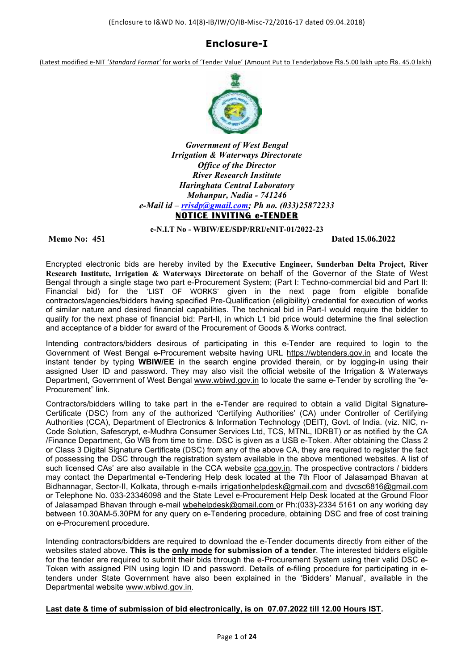## **Enclosure-I**

(Latest modified e-NIT '*Standard Format'* for works of 'Tender Value' (Amount Put to Tender)above Rs.5.00 lakh upto Rs. 45.0 lakh)



*Government of West Bengal Irrigation & Waterways Directorate Office of the Director River Research Institute Haringhata Central Laboratory Mohanpur, Nadia - 741246 e-Mail id – rrisdp@gmail.com; Ph no. (033)25872233* **NOTICE INVITING e-TENDER** 

**e-N.I.T No - WBIW/EE/SDP/RRI/eNIT-01/2022-23** 

**Memo No: 451 Dated 15.06.2022**

Encrypted electronic bids are hereby invited by the **Executive Engineer, Sunderban Delta Project, River Research Institute, Irrigation & Waterways Directorate** on behalf of the Governor of the State of West Bengal through a single stage two part e-Procurement System; (Part I: Techno-commercial bid and Part II: Financial bid) for the 'LIST OF WORKS' given in the next page from eligible bonafide contractors/agencies/bidders having specified Pre-Qualification (eligibility) credential for execution of works of similar nature and desired financial capabilities. The technical bid in Part-I would require the bidder to qualify for the next phase of financial bid: Part-II, in which L1 bid price would determine the final selection and acceptance of a bidder for award of the Procurement of Goods & Works contract.

Intending contractors/bidders desirous of participating in this e-Tender are required to login to the Government of West Bengal e-Procurement website having URL https://wbtenders.gov.in and locate the instant tender by typing **WBIW/EE** in the search engine provided therein, or by logging-in using their assigned User ID and password. They may also visit the official website of the Irrigation & Waterways Department, Government of West Bengal www.wbiwd.gov.in to locate the same e-Tender by scrolling the "e-Procurement" link.

Contractors/bidders willing to take part in the e-Tender are required to obtain a valid Digital Signature-Certificate (DSC) from any of the authorized 'Certifying Authorities' (CA) under Controller of Certifying Authorities (CCA), Department of Electronics & Information Technology (DEIT), Govt. of India. (viz. NIC, n-Code Solution, Safescrypt, e-Mudhra Consumer Services Ltd, TCS, MTNL, IDRBT) or as notified by the CA /Finance Department, Go WB from time to time. DSC is given as a USB e-Token. After obtaining the Class 2 or Class 3 Digital Signature Certificate (DSC) from any of the above CA, they are required to register the fact of possessing the DSC through the registration system available in the above mentioned websites. A list of such licensed CAs' are also available in the CCA website cca.gov.in. The prospective contractors / bidders may contact the Departmental e-Tendering Help desk located at the 7th Floor of Jalasampad Bhavan at Bidhannagar, Sector-II, Kolkata, through e-mails irrigationhelpdesk@gmail.com and dvcsc6816@gmail.com or Telephone No. 033-23346098 and the State Level e-Procurement Help Desk located at the Ground Floor of Jalasampad Bhavan through e-mail wbehelpdesk@gmail.com or Ph:(033)-2334 5161 on any working day between 10.30AM-5.30PM for any query on e-Tendering procedure, obtaining DSC and free of cost training on e-Procurement procedure.

Intending contractors/bidders are required to download the e-Tender documents directly from either of the websites stated above. **This is the only mode for submission of a tender**. The interested bidders eligible for the tender are required to submit their bids through the e-Procurement System using their valid DSC e-Token with assigned PIN using login ID and password. Details of e-filing procedure for participating in etenders under State Government have also been explained in the 'Bidders' Manual', available in the Departmental website www.wbiwd.gov.in.

#### **Last date & time of submission of bid electronically, is on 07.07.2022 till 12.00 Hours IST.**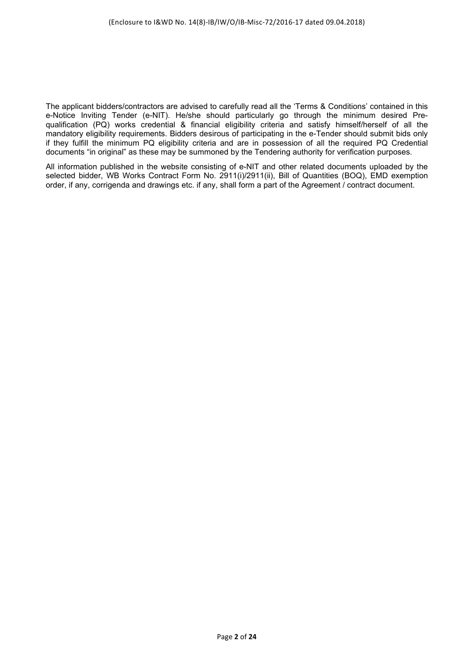The applicant bidders/contractors are advised to carefully read all the 'Terms & Conditions' contained in this e-Notice Inviting Tender (e-NIT). He/she should particularly go through the minimum desired Prequalification (PQ) works credential & financial eligibility criteria and satisfy himself/herself of all the mandatory eligibility requirements. Bidders desirous of participating in the e-Tender should submit bids only if they fulfill the minimum PQ eligibility criteria and are in possession of all the required PQ Credential documents "in original" as these may be summoned by the Tendering authority for verification purposes.

All information published in the website consisting of e-NIT and other related documents uploaded by the selected bidder, WB Works Contract Form No. 2911(i)/2911(ii), Bill of Quantities (BOQ), EMD exemption order, if any, corrigenda and drawings etc. if any, shall form a part of the Agreement / contract document.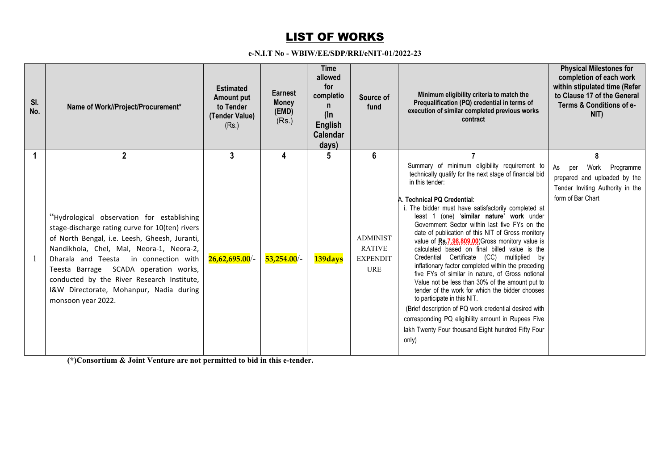# <u>LIST OF WORKS</u>

#### **e-N.I.T No - WBIW/EE/SDP/RRI/eNIT-01/2022-23**

| SI.<br>No. | Name of Work//Project/Procurement*                                                                                                                                                                                                                                                                                                                                                             | <b>Estimated</b><br>Amount put<br>to Tender<br>(Tender Value)<br>(Rs.) | <b>Earnest</b><br><b>Money</b><br>(EMD)<br>(Rs.) | <b>Time</b><br>allowed<br>for<br>completio<br>n<br>$(\ln$<br><b>English</b><br><b>Calendar</b><br>days) | Source of<br>fund                                                 | Minimum eligibility criteria to match the<br>Prequalification (PQ) credential in terms of<br>execution of similar completed previous works<br>contract                                                                                                                                                                                                                                                                                                                                                                                                                                                                                                                                                                                                                                                                                                                                                                                              | <b>Physical Milestones for</b><br>completion of each work<br>within stipulated time (Refer<br>to Clause 17 of the General<br>Terms & Conditions of e-<br>NIT) |
|------------|------------------------------------------------------------------------------------------------------------------------------------------------------------------------------------------------------------------------------------------------------------------------------------------------------------------------------------------------------------------------------------------------|------------------------------------------------------------------------|--------------------------------------------------|---------------------------------------------------------------------------------------------------------|-------------------------------------------------------------------|-----------------------------------------------------------------------------------------------------------------------------------------------------------------------------------------------------------------------------------------------------------------------------------------------------------------------------------------------------------------------------------------------------------------------------------------------------------------------------------------------------------------------------------------------------------------------------------------------------------------------------------------------------------------------------------------------------------------------------------------------------------------------------------------------------------------------------------------------------------------------------------------------------------------------------------------------------|---------------------------------------------------------------------------------------------------------------------------------------------------------------|
|            | $\mathbf 2$                                                                                                                                                                                                                                                                                                                                                                                    | 3                                                                      | 4                                                | 5                                                                                                       | 6                                                                 |                                                                                                                                                                                                                                                                                                                                                                                                                                                                                                                                                                                                                                                                                                                                                                                                                                                                                                                                                     |                                                                                                                                                               |
|            | "Hydrological observation for establishing<br>stage-discharge rating curve for 10(ten) rivers<br>of North Bengal, i.e. Leesh, Gheesh, Juranti,<br>Nandikhola, Chel, Mal, Neora-1, Neora-2,<br>Dharala and Teesta<br>in connection with<br>Teesta Barrage SCADA operation works,<br>conducted by the River Research Institute,<br>I&W Directorate, Mohanpur, Nadia during<br>monsoon year 2022. | $26,62,695.00/$ -                                                      | $53,254.00/$ -                                   | 139days                                                                                                 | <b>ADMINIST</b><br><b>RATIVE</b><br><b>EXPENDIT</b><br><b>URE</b> | Summary of minimum eligibility requirement to<br>technically qualify for the next stage of financial bid<br>in this tender:<br>A. Technical PQ Credential:<br>i. The bidder must have satisfactorily completed at<br>least 1 (one) 'similar nature' work under<br>Government Sector within last five FYs on the<br>date of publication of this NIT of Gross monitory<br>value of Rs.7,98,809.00 (Gross monitory value is<br>calculated based on final billed value is the<br>Credential Certificate (CC) multiplied by<br>inflationary factor completed within the preceding<br>five FYs of similar in nature, of Gross notional<br>Value not be less than 30% of the amount put to<br>tender of the work for which the bidder chooses<br>to participate in this NIT.<br>(Brief description of PQ work credential desired with<br>corresponding PQ eligibility amount in Rupees Five<br>lakh Twenty Four thousand Eight hundred Fifty Four<br>only) | Work<br>Programme<br>per<br>As<br>prepared and uploaded by the<br>Tender Inviting Authority in the<br>form of Bar Chart                                       |

**(\*)Consortium & Joint Venture are not permitted to bid in this e-tender.**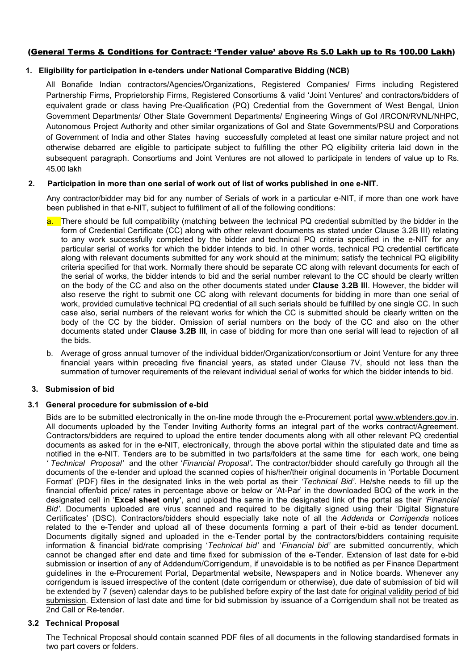### (General Terms & Conditions for Contract: 'Tender value' above Rs 5.0 Lakh up to Rs 100.00 Lakh)

#### **1. Eligibility for participation in e-tenders under National Comparative Bidding (NCB)**

All Bonafide Indian contractors/Agencies/Organizations, Registered Companies/ Firms including Registered Partnership Firms, Proprietorship Firms, Registered Consortiums & valid 'Joint Ventures' and contractors/bidders of equivalent grade or class having Pre-Qualification (PQ) Credential from the Government of West Bengal, Union Government Departments/ Other State Government Departments/ Engineering Wings of GoI /IRCON/RVNL/NHPC, Autonomous Project Authority and other similar organizations of GoI and State Governments/PSU and Corporations of Government of India and other States having successfully completed at least one similar nature project and not otherwise debarred are eligible to participate subject to fulfilling the other PQ eligibility criteria laid down in the subsequent paragraph. Consortiums and Joint Ventures are not allowed to participate in tenders of value up to Rs. 45.00 lakh

#### **2. Participation in more than one serial of work out of list of works published in one e-NIT.**

Any contractor/bidder may bid for any number of Serials of work in a particular e-NIT, if more than one work have been published in that e-NIT, subject to fulfillment of all of the following conditions:

- a. There should be full compatibility (matching between the technical PQ credential submitted by the bidder in the form of Credential Certificate (CC) along with other relevant documents as stated under Clause 3.2B III) relating to any work successfully completed by the bidder and technical PQ criteria specified in the e-NIT for any particular serial of works for which the bidder intends to bid. In other words, technical PQ credential certificate along with relevant documents submitted for any work should at the minimum; satisfy the technical PQ eligibility criteria specified for that work. Normally there should be separate CC along with relevant documents for each of the serial of works, the bidder intends to bid and the serial number relevant to the CC should be clearly written on the body of the CC and also on the other documents stated under **Clause 3.2B III**. However, the bidder will also reserve the right to submit one CC along with relevant documents for bidding in more than one serial of work, provided cumulative technical PQ credential of all such serials should be fulfilled by one single CC. In such case also, serial numbers of the relevant works for which the CC is submitted should be clearly written on the body of the CC by the bidder. Omission of serial numbers on the body of the CC and also on the other documents stated under **Clause 3.2B III**, in case of bidding for more than one serial will lead to rejection of all the bids.
- b. Average of gross annual turnover of the individual bidder/Organization/consortium or Joint Venture for any three financial years within preceding five financial years, as stated under Clause 7V, should not less than the summation of turnover requirements of the relevant individual serial of works for which the bidder intends to bid.

#### **3. Submission of bid**

#### **3.1 General procedure for submission of e-bid**

Bids are to be submitted electronically in the on-line mode through the e-Procurement portal www.wbtenders.gov.in. All documents uploaded by the Tender Inviting Authority forms an integral part of the works contract/Agreement. Contractors/bidders are required to upload the entire tender documents along with all other relevant PQ credential documents as asked for in the e-NIT, electronically, through the above portal within the stipulated date and time as notified in the e-NIT. Tenders are to be submitted in two parts/folders at the same time for each work, one being *' Technical Proposal'* and the other '*Financial Proposal'.* The contractor/bidder should carefully go through all the documents of the e-tender and upload the scanned copies of his/her/their original documents in 'Portable Document Format' (PDF) files in the designated links in the web portal as their *'Technical Bid'*. He/she needs to fill up the financial offer/bid price/ rates in percentage above or below or 'At-Par' in the downloaded BOQ of the work in the designated cell in '**Excel sheet only'**, and upload the same in the designated link of the portal as their *'Financial Bid'*. Documents uploaded are virus scanned and required to be digitally signed using their 'Digital Signature Certificates' (DSC). Contractors/bidders should especially take note of all the *Addenda* or *Corrigenda* notices related to the e-Tender and upload all of these documents forming a part of their e-bid as tender document. Documents digitally signed and uploaded in the e-Tender portal by the contractors/bidders containing requisite information & financial bid/rate comprising '*Technical bid'* and '*Financial bid'* are submitted concurrently, which cannot be changed after end date and time fixed for submission of the e-Tender. Extension of last date for e-bid submission or insertion of any of Addendum/Corrigendum, if unavoidable is to be notified as per Finance Department guidelines in the e-Procurement Portal, Departmental website, Newspapers and in Notice boards. Whenever any corrigendum is issued irrespective of the content (date corrigendum or otherwise), due date of submission of bid will be extended by 7 (seven) calendar days to be published before expiry of the last date for original validity period of bid submission. Extension of last date and time for bid submission by issuance of a Corrigendum shall not be treated as 2nd Call or Re-tender.

#### **3.2 Technical Proposal**

The Technical Proposal should contain scanned PDF files of all documents in the following standardised formats in two part covers or folders.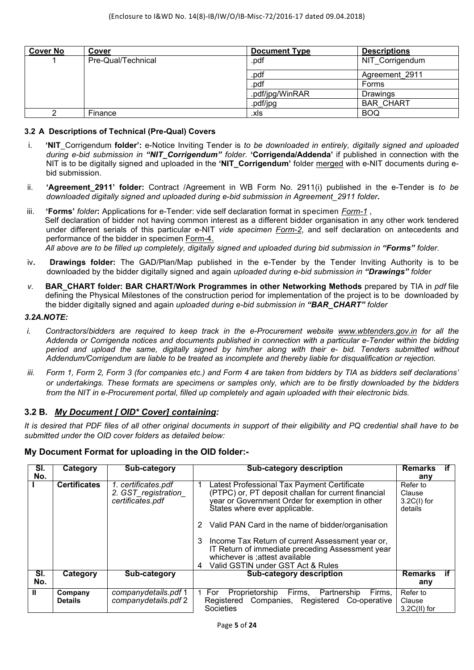| <b>Cover No</b> | Cover              | <b>Document Type</b> | <b>Descriptions</b> |
|-----------------|--------------------|----------------------|---------------------|
|                 | Pre-Qual/Technical | .pdf                 | NIT Corrigendum     |
|                 |                    | .pdf                 | Agreement 2911      |
|                 |                    | .pdf                 | Forms               |
|                 |                    | .pdf/jpg/WinRAR      | <b>Drawings</b>     |
|                 |                    | .pdf/jpg             | <b>BAR CHART</b>    |
|                 | Finance            | .xls                 | <b>BOQ</b>          |

### **3.2 A Descriptions of Technical (Pre-Qual) Covers**

- i. **'NIT**\_Corrigendum **folder':** e-Notice Inviting Tender is *to be downloaded in entirely, digitally signed and uploaded during e-bid submission in "NIT\_Corrigendum" folder.* **'Corrigenda/Addenda'** if published in connection with the NIT is to be digitally signed and uploaded in the **'NIT\_Corrigendum'** folder merged with e-NIT documents during ebid submission.
- ii. **'Agreement\_2911' folder:** Contract /Agreement in WB Form No. 2911(i) published in the e-Tender is *to be downloaded digitally signed and uploaded during e-bid submission in Agreement\_2911 folder.*
- iii. 'Forms' *folder*: Applications for e-Tender: vide self declaration format in specimen *Form-1*, Self declaration of bidder not having common interest as a different bidder organisation in any other work tendered under different serials of this particular e-NIT *vide specimen Form-2*, and self declaration on antecedents and performance of the bidder in specimen Form-4.  *All above are to be filled up completely, digitally signed and uploaded during bid submission in "Forms" folder.*
- iv**. Drawings folder:** The GAD/Plan/Map published in the e-Tender by the Tender Inviting Authority is to be downloaded by the bidder digitally signed and again *uploaded during e-bid submission in "Drawings" folder*
- *v.* **BAR\_CHART folder: BAR CHART/Work Programmes in other Networking Methods** prepared by TIA in *pdf* file defining the Physical Milestones of the construction period for implementation of the project is to be downloaded by the bidder digitally signed and again *uploaded during e-bid submission in "BAR\_CHART" folder*

#### *3.2A.NOTE:*

- *i. Contractors*/*bidders are required to keep track in the e-Procurement website www.wbtenders.gov.in for all the Addenda or Corrigenda notices and documents published in connection with a particular e-Tender within the bidding period and upload the same, digitally signed by him/her along with their e- bid. Tenders submitted without Addendum/Corrigendum are liable to be treated as incomplete and thereby liable for disqualification or rejection.*
- *iii. Form 1, Form 2, Form 3 (for companies etc.) and Form 4 are taken from bidders by TIA as bidders self declarations' or undertakings. These formats are specimens or samples only, which are to be firstly downloaded by the bidders from the NIT in e-Procurement portal, filled up completely and again uploaded with their electronic bids.*

## **3.2 B.** *My Document [ OID\* Cover] containing:*

*It is desired that PDF files of all other original documents in support of their eligibility and PQ credential shall have to be submitted under the OID cover folders as detailed below:* 

## **My Document Format for uploading in the OID folder:-**

| SI.          | Category                  | Sub-category                                                    | <b>Sub-category description</b>                                                                                                                                                                                                                                                                                                                                                                                                            | <b>Remarks</b>                                 |  |
|--------------|---------------------------|-----------------------------------------------------------------|--------------------------------------------------------------------------------------------------------------------------------------------------------------------------------------------------------------------------------------------------------------------------------------------------------------------------------------------------------------------------------------------------------------------------------------------|------------------------------------------------|--|
| No.          |                           |                                                                 |                                                                                                                                                                                                                                                                                                                                                                                                                                            | any                                            |  |
|              | <b>Certificates</b>       | 1. certificates.pdf<br>2. GST_registration_<br>certificates.pdf | Latest Professional Tax Payment Certificate<br>(PTPC) or, PT deposit challan for current financial<br>year or Government Order for exemption in other<br>States where ever applicable.<br>Valid PAN Card in the name of bidder/organisation<br>2<br>Income Tax Return of current Assessment year or,<br>3<br>IT Return of immediate preceding Assessment year<br>whichever is ; attest available<br>Valid GSTIN under GST Act & Rules<br>4 | Refer to<br>Clause<br>$3.2C(1)$ for<br>details |  |
| SI.<br>No.   | Category                  | Sub-category                                                    | Sub-category description                                                                                                                                                                                                                                                                                                                                                                                                                   | <b>Remarks</b><br>any                          |  |
| $\mathbf{I}$ | Company<br><b>Details</b> | companydetails.pdf 1<br>companydetails.pdf 2                    | Proprietorship Firms, Partnership<br>Firms,<br>For<br>Registered Companies, Registered Co-operative<br>Societies                                                                                                                                                                                                                                                                                                                           | Refer to<br>Clause<br>$3.2C(II)$ for           |  |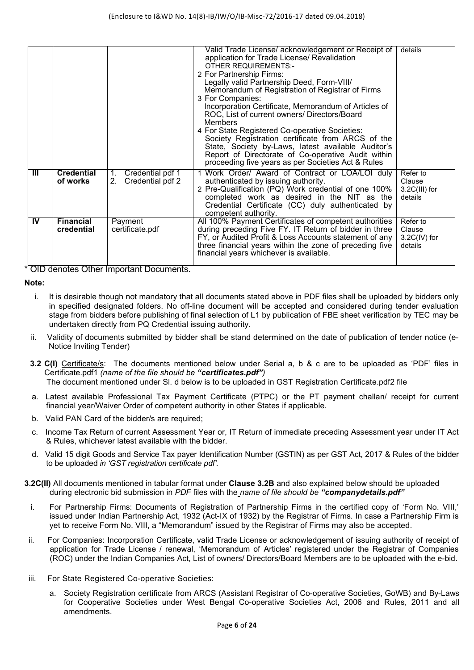|           |                                |                                                  | Valid Trade License/ acknowledgement or Receipt of<br>application for Trade License/ Revalidation<br><b>OTHER REQUIREMENTS:-</b><br>2 For Partnership Firms:<br>Legally valid Partnership Deed, Form-VIII/<br>Memorandum of Registration of Registrar of Firms<br>3 For Companies:<br>Incorporation Certificate, Memorandum of Articles of<br>ROC, List of current owners/ Directors/Board<br>Members<br>4 For State Registered Co-operative Societies:<br>Society Registration certificate from ARCS of the<br>State, Society by-Laws, latest available Auditor's<br>Report of Directorate of Co-operative Audit within<br>proceeding five years as per Societies Act & Rules | details                                          |
|-----------|--------------------------------|--------------------------------------------------|--------------------------------------------------------------------------------------------------------------------------------------------------------------------------------------------------------------------------------------------------------------------------------------------------------------------------------------------------------------------------------------------------------------------------------------------------------------------------------------------------------------------------------------------------------------------------------------------------------------------------------------------------------------------------------|--------------------------------------------------|
| Ш         | <b>Credential</b><br>of works  | Credential pdf 1<br>1.<br>Credential pdf 2<br>2. | 1 Work Order/ Award of Contract or LOA/LOI duly<br>authenticated by issuing authority.<br>2 Pre-Qualification (PQ) Work credential of one 100%<br>completed work as desired in the NIT as the<br>Credential Certificate (CC) duly authenticated by<br>competent authority.                                                                                                                                                                                                                                                                                                                                                                                                     | Refer to<br>Clause<br>$3.2C(III)$ for<br>details |
| <b>IV</b> | <b>Financial</b><br>credential | Payment<br>certificate.pdf                       | All 100% Payment Certificates of competent authorities<br>during preceding Five FY. IT Return of bidder in three<br>FY, or Audited Profit & Loss Accounts statement of any<br>three financial years within the zone of preceding five<br>financial years whichever is available.                                                                                                                                                                                                                                                                                                                                                                                               | Refer to<br>Clause<br>$3.2C(IV)$ for<br>details  |

\* OID denotes Other Important Documents.

**Note:** 

- i. It is desirable though not mandatory that all documents stated above in PDF files shall be uploaded by bidders only in specified designated folders. No off-line document will be accepted and considered during tender evaluation stage from bidders before publishing of final selection of L1 by publication of FBE sheet verification by TEC may be undertaken directly from PQ Credential issuing authority.
- ii. Validity of documents submitted by bidder shall be stand determined on the date of publication of tender notice (e-Notice Inviting Tender)
- **3.2 C(I)** Certificate/s: The documents mentioned below under Serial a, b & c are to be uploaded as 'PDF' files in Certificate.pdf1 *(name of the file should be "certificates.pdf")* The document mentioned under Sl. d below is to be uploaded in GST Registration Certificate.pdf2 file
- a. Latest available Professional Tax Payment Certificate (PTPC) or the PT payment challan/ receipt for current financial year/Waiver Order of competent authority in other States if applicable.
- b. Valid PAN Card of the bidder/s are required;
- c. Income Tax Return of current Assessment Year or, IT Return of immediate preceding Assessment year under IT Act & Rules, whichever latest available with the bidder.
- d. Valid 15 digit Goods and Service Tax payer Identification Number (GSTIN) as per GST Act, 2017 & Rules of the bidder to be uploaded *in 'GST registration certificate pdf'.*
- **3.2C(II)** All documents mentioned in tabular format under **Clause 3.2B** and also explained below should be uploaded during electronic bid submission in *PDF* files with the *name of file should be "companydetails.pdf"*
	- i. For Partnership Firms: Documents of Registration of Partnership Firms in the certified copy of 'Form No. VIII,' issued under Indian Partnership Act, 1932 (Act-IX of 1932) by the Registrar of Firms. In case a Partnership Firm is yet to receive Form No. VIII, a "Memorandum" issued by the Registrar of Firms may also be accepted.
- ii. For Companies: Incorporation Certificate, valid Trade License or acknowledgement of issuing authority of receipt of application for Trade License / renewal, 'Memorandum of Articles' registered under the Registrar of Companies (ROC) under the Indian Companies Act, List of owners/ Directors/Board Members are to be uploaded with the e-bid.
- iii. For State Registered Co-operative Societies:
	- a. Society Registration certificate from ARCS (Assistant Registrar of Co-operative Societies, GoWB) and By-Laws for Cooperative Societies under West Bengal Co-operative Societies Act, 2006 and Rules, 2011 and all amendments.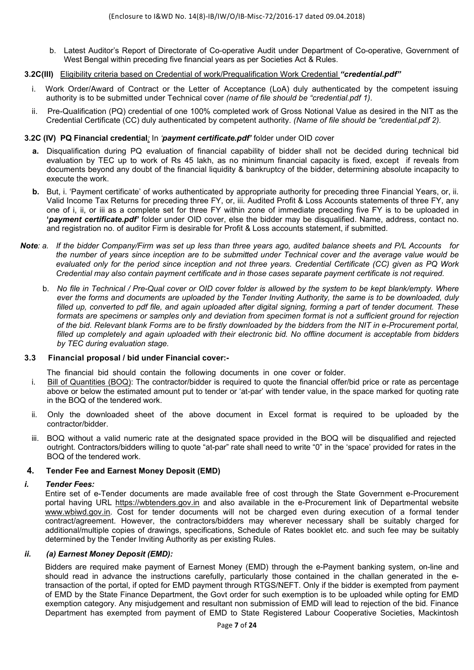b. Latest Auditor's Report of Directorate of Co-operative Audit under Department of Co-operative, Government of West Bengal within preceding five financial years as per Societies Act & Rules.

#### **3.2C(III)** Eligibility criteria based on Credential of work/Prequalification Work Credential *"credential.pdf"*

- i. Work Order/Award of Contract or the Letter of Acceptance (LoA) duly authenticated by the competent issuing authority is to be submitted under Technical cover *(name of file should be "credential.pdf 1).*
- ii. Pre-Qualification (PQ) credential of one 100% completed work of Gross Notional Value as desired in the NIT as the Credential Certificate (CC) duly authenticated by competent authority. *(Name of file should be "credential.pdf 2).*

#### **3.2C (IV)****PQ Financial credential***:* In *'payment certificate.pdf'* folder under OID *co*ver

- **a.** Disqualification during PQ evaluation of financial capability of bidder shall not be decided during technical bid evaluation by TEC up to work of Rs 45 lakh, as no minimum financial capacity is fixed, except if reveals from documents beyond any doubt of the financial liquidity & bankruptcy of the bidder, determining absolute incapacity to execute the work.
- **b.** But, i. 'Payment certificate' of works authenticated by appropriate authority for preceding three Financial Years, or, ii. Valid Income Tax Returns for preceding three FY, or, iii. Audited Profit & Loss Accounts statements of three FY, any one of i, ii, or iii as a complete set for three FY within zone of immediate preceding five FY is to be uploaded in **'***payment certificate.pdf'* folder under OID cover, else the bidder may be disqualified. Name, address, contact no. and registration no. of auditor Firm is desirable for Profit & Loss accounts statement, if submitted.
- *Note: a. If the bidder Company/Firm was set up less than three years ago, audited balance sheets and P/L Accounts for the number of years since inception are to be submitted under Technical cover and the average value would be evaluated only for the period since inception and not three years. Credential Certificate (CC) given as PQ Work Credential may also contain payment certificate and in those cases separate payment certificate is not required.* 
	- b.*No file in Technical / Pre-Qual cover or OID cover folder is allowed by the system to be kept blank/empty. Where ever the forms and documents are uploaded by the Tender Inviting Authority, the same is to be downloaded, duly filled up, converted to pdf file, and again uploaded after digital signing, forming a part of tender document. These formats are specimens or samples only and deviation from specimen format is not a sufficient ground for rejection of the bid. Relevant blank Forms are to be firstly downloaded by the bidders from the NIT in e-Procurement portal, filled up completely and again uploaded with their electronic bid. No offline document is acceptable from bidders by TEC during evaluation stage.*

#### **3.3 Financial proposal / bid under Financial cover:-**

The financial bid should contain the following documents in one cover or folder.

- i. Bill of Quantities (BOQ): The contractor/bidder is required to quote the financial offer/bid price or rate as percentage above or below the estimated amount put to tender or 'at-par' with tender value, in the space marked for quoting rate in the BOQ of the tendered work.
- ii. Only the downloaded sheet of the above document in Excel format is required to be uploaded by the contractor/bidder.
- iii. BOQ without a valid numeric rate at the designated space provided in the BOQ will be disqualified and rejected outright. Contractors/bidders willing to quote "at-par" rate shall need to write "0" in the 'space' provided for rates in the BOQ of the tendered work.

#### **4. Tender Fee and Earnest Money Deposit (EMD)**

#### *i. Tender Fees:*

Entire set of e-Tender documents are made available free of cost through the State Government e-Procurement portal having URL https://wbtenders.gov.in and also available in the e-Procurement link of Departmental website www.wbiwd.gov.in. Cost for tender documents will not be charged even during execution of a formal tender contract/agreement. However, the contractors/bidders may wherever necessary shall be suitably charged for additional/multiple copies of drawings, specifications, Schedule of Rates booklet etc. and such fee may be suitably determined by the Tender Inviting Authority as per existing Rules.

#### *ii. (a) Earnest Money Deposit (EMD):*

Bidders are required make payment of Earnest Money (EMD) through the e-Payment banking system, on-line and should read in advance the instructions carefully, particularly those contained in the challan generated in the etransaction of the portal, if opted for EMD payment through RTGS/NEFT. Only if the bidder is exempted from payment of EMD by the State Finance Department, the Govt order for such exemption is to be uploaded while opting for EMD exemption category. Any misjudgement and resultant non submission of EMD will lead to rejection of the bid. Finance Department has exempted from payment of EMD to State Registered Labour Cooperative Societies, Mackintosh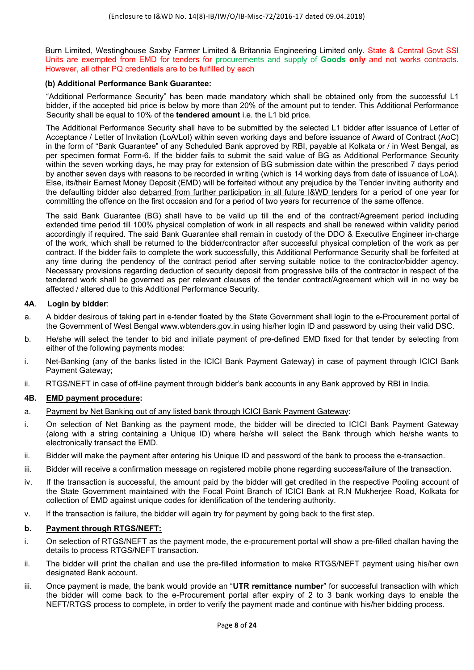Burn Limited, Westinghouse Saxby Farmer Limited & Britannia Engineering Limited only. State & Central Govt SSI Units are exempted from EMD for tenders for procurements and supply of **Goods only** and not works contracts. However, all other PQ credentials are to be fulfilled by each

#### **(b) Additional Performance Bank Guarantee:**

"Additional Performance Security" has been made mandatory which shall be obtained only from the successful L1 bidder, if the accepted bid price is below by more than 20% of the amount put to tender. This Additional Performance Security shall be equal to 10% of the **tendered amount** i.e. the L1 bid price.

The Additional Performance Security shall have to be submitted by the selected L1 bidder after issuance of Letter of Acceptance / Letter of Invitation (LoA/LoI) within seven working days and before issuance of Award of Contract (AoC) in the form of "Bank Guarantee" of any Scheduled Bank approved by RBI, payable at Kolkata or / in West Bengal, as per specimen format Form-6. If the bidder fails to submit the said value of BG as Additional Performance Security within the seven working days, he may pray for extension of BG submission date within the prescribed 7 days period by another seven days with reasons to be recorded in writing (which is 14 working days from date of issuance of LoA). Else, its/their Earnest Money Deposit (EMD) will be forfeited without any prejudice by the Tender inviting authority and the defaulting bidder also debarred from further participation in all future I&WD tenders for a period of one year for committing the offence on the first occasion and for a period of two years for recurrence of the same offence.

The said Bank Guarantee (BG) shall have to be valid up till the end of the contract/Agreement period including extended time period till 100% physical completion of work in all respects and shall be renewed within validity period accordingly if required. The said Bank Guarantee shall remain in custody of the DDO & Executive Engineer in-charge of the work, which shall be returned to the bidder/contractor after successful physical completion of the work as per contract. If the bidder fails to complete the work successfully, this Additional Performance Security shall be forfeited at any time during the pendency of the contract period after serving suitable notice to the contractor/bidder agency. Necessary provisions regarding deduction of security deposit from progressive bills of the contractor in respect of the tendered work shall be governed as per relevant clauses of the tender contract/Agreement which will in no way be affected / altered due to this Additional Performance Security.

#### **4A**. **Login by bidder**:

- a. A bidder desirous of taking part in e-tender floated by the State Government shall login to the e-Procurement portal of the Government of West Bengal www.wbtenders.gov.in using his/her login ID and password by using their valid DSC.
- b. He/she will select the tender to bid and initiate payment of pre-defined EMD fixed for that tender by selecting from either of the following payments modes:
- i. Net-Banking (any of the banks listed in the ICICI Bank Payment Gateway) in case of payment through ICICI Bank Payment Gateway;
- ii. RTGS/NEFT in case of off-line payment through bidder's bank accounts in any Bank approved by RBI in India.

#### **4B. EMD payment procedure:**

- a. Payment by Net Banking out of any listed bank through ICICI Bank Payment Gateway:
- i. On selection of Net Banking as the payment mode, the bidder will be directed to ICICI Bank Payment Gateway (along with a string containing a Unique ID) where he/she will select the Bank through which he/she wants to electronically transact the EMD.
- ii. Bidder will make the payment after entering his Unique ID and password of the bank to process the e-transaction.
- iii. Bidder will receive a confirmation message on registered mobile phone regarding success/failure of the transaction.
- iv. If the transaction is successful, the amount paid by the bidder will get credited in the respective Pooling account of the State Government maintained with the Focal Point Branch of ICICI Bank at R.N Mukherjee Road, Kolkata for collection of EMD against unique codes for identification of the tendering authority.
- v. If the transaction is failure, the bidder will again try for payment by going back to the first step.

#### **b. Payment through RTGS/NEFT:**

- i. On selection of RTGS/NEFT as the payment mode, the e-procurement portal will show a pre-filled challan having the details to process RTGS/NEFT transaction.
- ii. The bidder will print the challan and use the pre-filled information to make RTGS/NEFT payment using his/her own designated Bank account.
- iii. Once payment is made, the bank would provide an "**UTR remittance number**" for successful transaction with which the bidder will come back to the e-Procurement portal after expiry of 2 to 3 bank working days to enable the NEFT/RTGS process to complete, in order to verify the payment made and continue with his/her bidding process.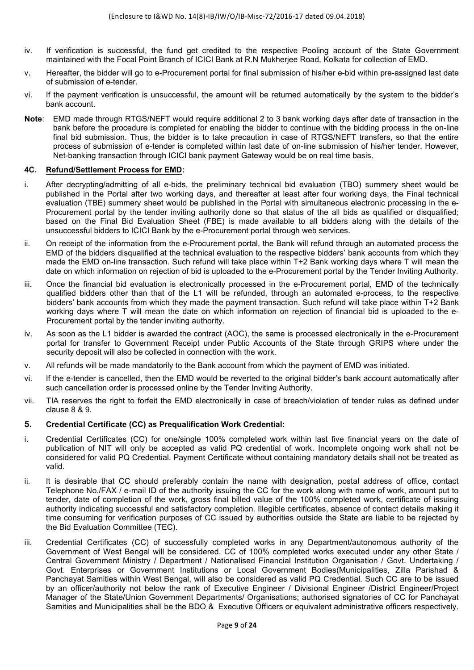- iv. If verification is successful, the fund get credited to the respective Pooling account of the State Government maintained with the Focal Point Branch of ICICI Bank at R.N Mukherjee Road, Kolkata for collection of EMD.
- v. Hereafter, the bidder will go to e-Procurement portal for final submission of his/her e-bid within pre-assigned last date of submission of e-tender.
- vi. If the payment verification is unsuccessful, the amount will be returned automatically by the system to the bidder's bank account.
- **Note**: EMD made through RTGS/NEFT would require additional 2 to 3 bank working days after date of transaction in the bank before the procedure is completed for enabling the bidder to continue with the bidding process in the on-line final bid submission. Thus, the bidder is to take precaution in case of RTGS/NEFT transfers, so that the entire process of submission of e-tender is completed within last date of on-line submission of his/her tender. However, Net-banking transaction through ICICI bank payment Gateway would be on real time basis.

#### **4C. Refund/Settlement Process for EMD:**

- i. After decrypting/admitting of all e-bids, the preliminary technical bid evaluation (TBO) summery sheet would be published in the Portal after two working days, and thereafter at least after four working days, the Final technical evaluation (TBE) summery sheet would be published in the Portal with simultaneous electronic processing in the e-Procurement portal by the tender inviting authority done so that status of the all bids as qualified or disqualified; based on the Final Bid Evaluation Sheet (FBE) is made available to all bidders along with the details of the unsuccessful bidders to ICICI Bank by the e-Procurement portal through web services.
- ii. On receipt of the information from the e-Procurement portal, the Bank will refund through an automated process the EMD of the bidders disqualified at the technical evaluation to the respective bidders' bank accounts from which they made the EMD on-line transaction. Such refund will take place within T+2 Bank working days where T will mean the date on which information on rejection of bid is uploaded to the e-Procurement portal by the Tender Inviting Authority.
- iii. Once the financial bid evaluation is electronically processed in the e-Procurement portal, EMD of the technically qualified bidders other than that of the L1 will be refunded, through an automated e-process, to the respective bidders' bank accounts from which they made the payment transaction. Such refund will take place within T+2 Bank working days where T will mean the date on which information on rejection of financial bid is uploaded to the e-Procurement portal by the tender inviting authority.
- iv. As soon as the L1 bidder is awarded the contract (AOC), the same is processed electronically in the e-Procurement portal for transfer to Government Receipt under Public Accounts of the State through GRIPS where under the security deposit will also be collected in connection with the work.
- v. All refunds will be made mandatorily to the Bank account from which the payment of EMD was initiated.
- vi. If the e-tender is cancelled, then the EMD would be reverted to the original bidder's bank account automatically after such cancellation order is processed online by the Tender Inviting Authority.
- vii. TIA reserves the right to forfeit the EMD electronically in case of breach/violation of tender rules as defined under clause 8 & 9.

#### **5. Credential Certificate (CC) as Prequalification Work Credential:**

- i. Credential Certificates (CC) for one/single 100% completed work within last five financial years on the date of publication of NIT will only be accepted as valid PQ credential of work. Incomplete ongoing work shall not be considered for valid PQ Credential. Payment Certificate without containing mandatory details shall not be treated as valid.
- ii. It is desirable that CC should preferably contain the name with designation, postal address of office, contact Telephone No./FAX / e-mail ID of the authority issuing the CC for the work along with name of work, amount put to tender, date of completion of the work, gross final billed value of the 100% completed work, certificate of issuing authority indicating successful and satisfactory completion. Illegible certificates, absence of contact details making it time consuming for verification purposes of CC issued by authorities outside the State are liable to be rejected by the Bid Evaluation Committee (TEC).
- iii. Credential Certificates (CC) of successfully completed works in any Department/autonomous authority of the Government of West Bengal will be considered. CC of 100% completed works executed under any other State / Central Government Ministry / Department / Nationalised Financial Institution Organisation / Govt. Undertaking / Govt. Enterprises or Government Institutions or Local Government Bodies(Municipalities, Zilla Parishad & Panchayat Samities within West Bengal, will also be considered as valid PQ Credential. Such CC are to be issued by an officer/authority not below the rank of Executive Engineer / Divisional Engineer /District Engineer/Project Manager of the State/Union Government Departments/ Organisations; authorised signatories of CC for Panchayat Samities and Municipalities shall be the BDO & Executive Officers or equivalent administrative officers respectively.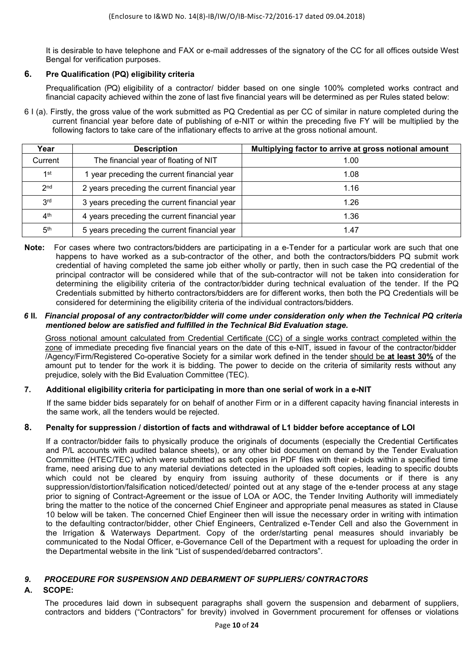It is desirable to have telephone and FAX or e-mail addresses of the signatory of the CC for all offices outside West Bengal for verification purposes.

### **6. Pre Qualification (PQ) eligibility criteria**

 Prequalification (PQ) eligibility of a contractor/ bidder based on one single 100% completed works contract and financial capacity achieved within the zone of last five financial years will be determined as per Rules stated below:

6 I (a). Firstly, the gross value of the work submitted as PQ Credential as per CC of similar in nature completed during the current financial year before date of publishing of e-NIT or within the preceding five FY will be multiplied by the following factors to take care of the inflationary effects to arrive at the gross notional amount.

| Year            | <b>Description</b>                           | Multiplying factor to arrive at gross notional amount |
|-----------------|----------------------------------------------|-------------------------------------------------------|
| Current         | The financial year of floating of NIT        | 1.00                                                  |
| 1st             | 1 year preceding the current financial year  | 1.08                                                  |
| 2 <sub>nd</sub> | 2 years preceding the current financial year | 1.16                                                  |
| 3 <sup>rd</sup> | 3 years preceding the current financial year | 1.26                                                  |
| 4 <sup>th</sup> | 4 years preceding the current financial year | 1.36                                                  |
| 5 <sup>th</sup> | 5 years preceding the current financial year | 1.47                                                  |

**Note:** For cases where two contractors/bidders are participating in a e-Tender for a particular work are such that one happens to have worked as a sub-contractor of the other, and both the contractors/bidders PQ submit work credential of having completed the same job either wholly or partly, then in such case the PQ credential of the principal contractor will be considered while that of the sub-contractor will not be taken into consideration for determining the eligibility criteria of the contractor/bidder during technical evaluation of the tender. If the PQ Credentials submitted by hitherto contractors/bidders are for different works, then both the PQ Credentials will be considered for determining the eligibility criteria of the individual contractors/bidders.

#### *6* **II***. Financial proposal of any contractor/bidder will come under consideration only when the Technical PQ criteria mentioned below are satisfied and fulfilled in the Technical Bid Evaluation stage.*

Gross notional amount calculated from Credential Certificate (CC) of a single works contract completed within the zone of immediate preceding five financial years on the date of this e-NIT, issued in favour of the contractor/bidder /Agency/Firm/Registered Co-operative Society for a similar work defined in the tender should be **at least 30%** of the amount put to tender for the work it is bidding. The power to decide on the criteria of similarity rests without any prejudice, solely with the Bid Evaluation Committee (TEC).

#### **7. Additional eligibility criteria for participating in more than one serial of work in a e-NIT**

If the same bidder bids separately for on behalf of another Firm or in a different capacity having financial interests in the same work, all the tenders would be rejected.

#### **8. Penalty for suppression / distortion of facts and withdrawal of L1 bidder before acceptance of LOI**

If a contractor/bidder fails to physically produce the originals of documents (especially the Credential Certificates and P/L accounts with audited balance sheets), or any other bid document on demand by the Tender Evaluation Committee (HTEC/TEC) which were submitted as soft copies in PDF files with their e-bids within a specified time frame, need arising due to any material deviations detected in the uploaded soft copies, leading to specific doubts which could not be cleared by enquiry from issuing authority of these documents or if there is any suppression/distortion/falsification noticed/detected/ pointed out at any stage of the e-tender process at any stage prior to signing of Contract-Agreement or the issue of LOA or AOC, the Tender Inviting Authority will immediately bring the matter to the notice of the concerned Chief Engineer and appropriate penal measures as stated in Clause 10 below will be taken. The concerned Chief Engineer then will issue the necessary order in writing with intimation to the defaulting contractor/bidder, other Chief Engineers, Centralized e-Tender Cell and also the Government in the Irrigation & Waterways Department. Copy of the order/starting penal measures should invariably be communicated to the Nodal Officer, e-Governance Cell of the Department with a request for uploading the order in the Departmental website in the link "List of suspended/debarred contractors".

#### *9. PROCEDURE FOR SUSPENSION AND DEBARMENT OF SUPPLIERS/ CONTRACTORS*

## **A. SCOPE:**

The procedures laid down in subsequent paragraphs shall govern the suspension and debarment of suppliers, contractors and bidders ("Contractors" for brevity) involved in Government procurement for offenses or violations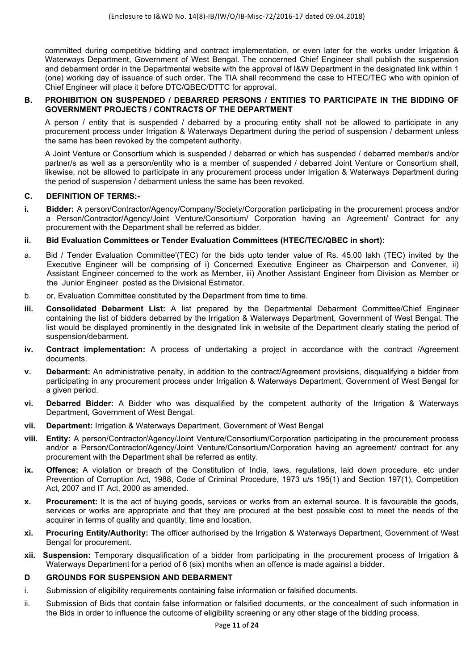committed during competitive bidding and contract implementation, or even later for the works under Irrigation & Waterways Department, Government of West Bengal. The concerned Chief Engineer shall publish the suspension and debarment order in the Departmental website with the approval of I&W Department in the designated link within 1 (one) working day of issuance of such order. The TIA shall recommend the case to HTEC/TEC who with opinion of Chief Engineer will place it before DTC/QBEC/DTTC for approval.

#### **B. PROHIBITION ON SUSPENDED / DEBARRED PERSONS / ENTITIES TO PARTICIPATE IN THE BIDDING OF GOVERNMENT PROJECTS / CONTRACTS OF THE DEPARTMENT**

A person / entity that is suspended / debarred by a procuring entity shall not be allowed to participate in any procurement process under Irrigation & Waterways Department during the period of suspension / debarment unless the same has been revoked by the competent authority.

 A Joint Venture or Consortium which is suspended / debarred or which has suspended / debarred member/s and/or partner/s as well as a person/entity who is a member of suspended / debarred Joint Venture or Consortium shall, likewise, not be allowed to participate in any procurement process under Irrigation & Waterways Department during the period of suspension / debarment unless the same has been revoked.

#### **C. DEFINITION OF TERMS:-**

- **i. Bidder:** A person/Contractor/Agency/Company/Society/Corporation participating in the procurement process and/or a Person/Contractor/Agency/Joint Venture/Consortium/ Corporation having an Agreement/ Contract for any procurement with the Department shall be referred as bidder.
- **ii. Bid Evaluation Committees or Tender Evaluation Committees (HTEC/TEC/QBEC in short):**
- a. Bid / Tender Evaluation Committee'(TEC) for the bids upto tender value of Rs. 45.00 lakh (TEC) invited by the Executive Engineer will be comprising of i) Concerned Executive Engineer as Chairperson and Convener, ii) Assistant Engineer concerned to the work as Member, iii) Another Assistant Engineer from Division as Member or the Junior Engineer posted as the Divisional Estimator.
- b. or, Evaluation Committee constituted by the Department from time to time.
- **iii. Consolidated Debarment List:** A list prepared by the Departmental Debarment Committee/Chief Engineer containing the list of bidders debarred by the Irrigation & Waterways Department, Government of West Bengal. The list would be displayed prominently in the designated link in website of the Department clearly stating the period of suspension/debarment.
- **iv. Contract implementation:** A process of undertaking a project in accordance with the contract /Agreement documents.
- **v. Debarment:** An administrative penalty, in addition to the contract/Agreement provisions, disqualifying a bidder from participating in any procurement process under Irrigation & Waterways Department, Government of West Bengal for a given period.
- **vi. Debarred Bidder:** A Bidder who was disqualified by the competent authority of the Irrigation & Waterways Department, Government of West Bengal.
- **vii. Department:** Irrigation & Waterways Department, Government of West Bengal
- **viii. Entity:** A person/Contractor/Agency/Joint Venture/Consortium/Corporation participating in the procurement process and/or a Person/Contractor/Agency/Joint Venture/Consortium/Corporation having an agreement/ contract for any procurement with the Department shall be referred as entity.
- **ix. Offence:** A violation or breach of the Constitution of India, laws, regulations, laid down procedure, etc under Prevention of Corruption Act, 1988, Code of Criminal Procedure, 1973 u/s 195(1) and Section 197(1), Competition Act, 2007 and IT Act, 2000 as amended.
- **x.** Procurement: It is the act of buying goods, services or works from an external source, It is favourable the goods, services or works are appropriate and that they are procured at the best possible cost to meet the needs of the acquirer in terms of quality and quantity, time and location.
- **xi. Procuring Entity/Authority:** The officer authorised by the Irrigation & Waterways Department, Government of West Bengal for procurement.
- **xii. Suspension:** Temporary disqualification of a bidder from participating in the procurement process of Irrigation & Waterways Department for a period of 6 (six) months when an offence is made against a bidder.

#### **D GROUNDS FOR SUSPENSION AND DEBARMENT**

- i. Submission of eligibility requirements containing false information or falsified documents.
- ii. Submission of Bids that contain false information or falsified documents, or the concealment of such information in the Bids in order to influence the outcome of eligibility screening or any other stage of the bidding process.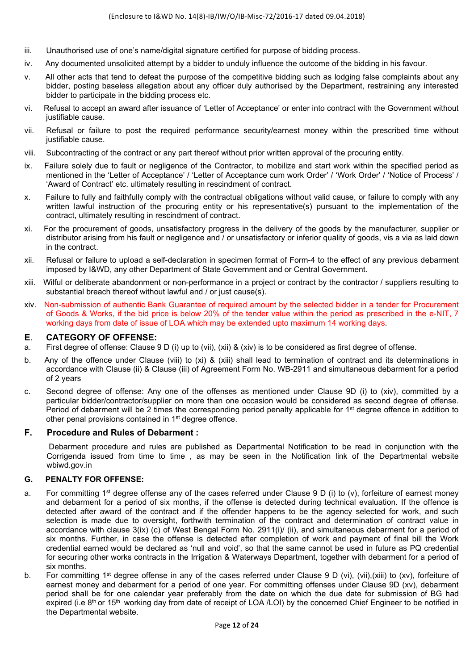- iii. Unauthorised use of one's name/digital signature certified for purpose of bidding process.
- iv. Any documented unsolicited attempt by a bidder to unduly influence the outcome of the bidding in his favour.
- v. All other acts that tend to defeat the purpose of the competitive bidding such as lodging false complaints about any bidder, posting baseless allegation about any officer duly authorised by the Department, restraining any interested bidder to participate in the bidding process etc.
- vi. Refusal to accept an award after issuance of 'Letter of Acceptance' or enter into contract with the Government without justifiable cause.
- vii. Refusal or failure to post the required performance security/earnest money within the prescribed time without justifiable cause.
- viii. Subcontracting of the contract or any part thereof without prior written approval of the procuring entity.
- ix. Failure solely due to fault or negligence of the Contractor, to mobilize and start work within the specified period as mentioned in the 'Letter of Acceptance' / 'Letter of Acceptance cum work Order' / 'Work Order' / 'Notice of Process' / 'Award of Contract' etc. ultimately resulting in rescindment of contract.
- x. Failure to fully and faithfully comply with the contractual obligations without valid cause, or failure to comply with any written lawful instruction of the procuring entity or his representative(s) pursuant to the implementation of the contract, ultimately resulting in rescindment of contract.
- xi. For the procurement of goods, unsatisfactory progress in the delivery of the goods by the manufacturer, supplier or distributor arising from his fault or negligence and / or unsatisfactory or inferior quality of goods, vis a via as laid down in the contract.
- xii. Refusal or failure to upload a self-declaration in specimen format of Form-4 to the effect of any previous debarment imposed by I&WD, any other Department of State Government and or Central Government.
- xiii. Wilful or deliberate abandonment or non-performance in a project or contract by the contractor / suppliers resulting to substantial breach thereof without lawful and / or just cause(s).
- xiv. Non-submission of authentic Bank Guarantee of required amount by the selected bidder in a tender for Procurement of Goods & Works, if the bid price is below 20% of the tender value within the period as prescribed in the e-NIT, 7 working days from date of issue of LOA which may be extended upto maximum 14 working days.

#### **E**. **CATEGORY OF OFFENSE:**

- a. First degree of offense: Clause 9 D (i) up to (vii), (xii) & (xiv) is to be considered as first degree of offense.
- b. Any of the offence under Clause (viii) to (xi) & (xiii) shall lead to termination of contract and its determinations in accordance with Clause (ii) & Clause (iii) of Agreement Form No. WB-2911 and simultaneous debarment for a period of 2 years
- c. Second degree of offense: Any one of the offenses as mentioned under Clause 9D (i) to (xiv), committed by a particular bidder/contractor/supplier on more than one occasion would be considered as second degree of offense. Period of debarment will be 2 times the corresponding period penalty applicable for 1<sup>st</sup> degree offence in addition to other penal provisions contained in 1<sup>st</sup> degree offence.

### **F. Procedure and Rules of Debarment :**

Debarment procedure and rules are published as Departmental Notification to be read in conjunction with the Corrigenda issued from time to time , as may be seen in the Notification link of the Departmental website wbiwd.gov.in

#### **G. PENALTY FOR OFFENSE:**

- a. For committing 1<sup>st</sup> degree offense any of the cases referred under Clause 9 D (i) to (v), forfeiture of earnest money and debarment for a period of six months, if the offense is detected during technical evaluation. If the offence is detected after award of the contract and if the offender happens to be the agency selected for work, and such selection is made due to oversight, forthwith termination of the contract and determination of contract value in accordance with clause 3(ix) (c) of West Bengal Form No. 2911(i)/ (ii), and simultaneous debarment for a period of six months. Further, in case the offense is detected after completion of work and payment of final bill the Work credential earned would be declared as 'null and void', so that the same cannot be used in future as PQ credential for securing other works contracts in the Irrigation & Waterways Department, together with debarment for a period of six months.
- b. For committing 1<sup>st</sup> degree offense in any of the cases referred under Clause 9 D (vi), (vii),(xiii) to (xv), forfeiture of earnest money and debarment for a period of one year. For committing offenses under Clause 9D (xv), debarment period shall be for one calendar year preferably from the date on which the due date for submission of BG had expired (i.e  $8<sup>th</sup>$  or 15<sup>th</sup> working day from date of receipt of LOA /LOI) by the concerned Chief Engineer to be notified in the Departmental website.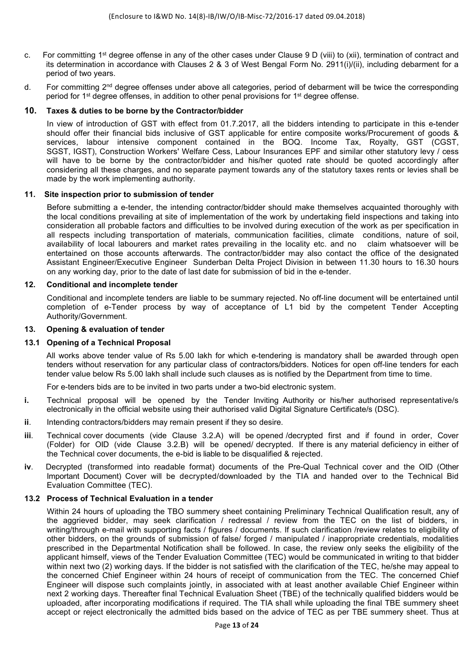- c. For committing 1st degree offense in any of the other cases under Clause 9 D (viii) to (xii), termination of contract and its determination in accordance with Clauses 2 & 3 of West Bengal Form No. 2911(i)/(ii), including debarment for a period of two years.
- d. For committing 2<sup>nd</sup> degree offenses under above all categories, period of debarment will be twice the corresponding period for  $1<sup>st</sup>$  degree offenses, in addition to other penal provisions for  $1<sup>st</sup>$  degree offense.

#### **10. Taxes & duties to be borne by the Contractor/bidder**

 In view of introduction of GST with effect from 01.7.2017, all the bidders intending to participate in this e-tender should offer their financial bids inclusive of GST applicable for entire composite works/Procurement of goods & services, labour intensive component contained in the BOQ. Income Tax, Royalty, GST (CGST, SGST, IGST), Construction Workers' Welfare Cess, Labour Insurances EPF and similar other statutory levy / cess will have to be borne by the contractor/bidder and his/her quoted rate should be quoted accordingly after considering all these charges, and no separate payment towards any of the statutory taxes rents or levies shall be made by the work implementing authority.

#### **11. Site inspection prior to submission of tender**

 Before submitting a e-tender, the intending contractor/bidder should make themselves acquainted thoroughly with the local conditions prevailing at site of implementation of the work by undertaking field inspections and taking into consideration all probable factors and difficulties to be involved during execution of the work as per specification in all respects including transportation of materials, communication facilities, climate conditions, nature of soil, availability of local labourers and market rates prevailing in the locality etc. and no claim whatsoever will be entertained on those accounts afterwards. The contractor/bidder may also contact the office of the designated Assistant Engineer/Executive Engineer Sunderban Delta Project Division in between 11.30 hours to 16.30 hours on any working day, prior to the date of last date for submission of bid in the e-tender.

#### **12. Conditional and incomplete tender**

 Conditional and incomplete tenders are liable to be summary rejected. No off-line document will be entertained until completion of e-Tender process by way of acceptance of L1 bid by the competent Tender Accepting Authority/Government.

#### **13. Opening & evaluation of tender**

#### **13.1 Opening of a Technical Proposal**

 All works above tender value of Rs 5.00 lakh for which e-tendering is mandatory shall be awarded through open tenders without reservation for any particular class of contractors/bidders. Notices for open off-line tenders for each tender value below Rs 5.00 lakh shall include such clauses as is notified by the Department from time to time.

For e-tenders bids are to be invited in two parts under a two-bid electronic system.

- **i.** Technical proposal will be opened by the Tender Inviting Authority or his/her authorised representative/s electronically in the official website using their authorised valid Digital Signature Certificate/s (DSC).
- **ii**. Intending contractors/bidders may remain present if they so desire.
- **iii**. Technical cover documents (vide Clause 3.2.A) will be opened /decrypted first and if found in order, Cover (Folder) for OID (vide Clause 3.2.B) will be opened/ decrypted. If there is any material deficiency in either of the Technical cover documents, the e-bid is liable to be disqualified & rejected.
- **iv**. Decrypted (transformed into readable format) documents of the Pre-Qual Technical cover and the OID (Other Important Document) Cover will be decrypted/downloaded by the TIA and handed over to the Technical Bid Evaluation Committee (TEC).

#### **13.2 Process of Technical Evaluation in a tender**

 Within 24 hours of uploading the TBO summery sheet containing Preliminary Technical Qualification result, any of the aggrieved bidder, may seek clarification / redressal / review from the TEC on the list of bidders, in writing/through e-mail with supporting facts / figures / documents. If such clarification /review relates to eligibility of other bidders, on the grounds of submission of false/ forged / manipulated / inappropriate credentials, modalities prescribed in the Departmental Notification shall be followed. In case, the review only seeks the eligibility of the applicant himself, views of the Tender Evaluation Committee (TEC) would be communicated in writing to that bidder within next two (2) working days. If the bidder is not satisfied with the clarification of the TEC, he/she may appeal to the concerned Chief Engineer within 24 hours of receipt of communication from the TEC. The concerned Chief Engineer will dispose such complaints jointly, in associated with at least another available Chief Engineer within next 2 working days. Thereafter final Technical Evaluation Sheet (TBE) of the technically qualified bidders would be uploaded, after incorporating modifications if required. The TIA shall while uploading the final TBE summery sheet accept or reject electronically the admitted bids based on the advice of TEC as per TBE summery sheet. Thus at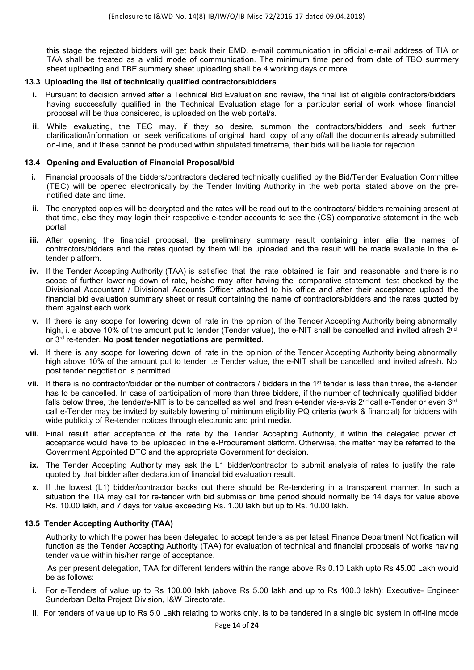this stage the rejected bidders will get back their EMD. e-mail communication in official e-mail address of TIA or TAA shall be treated as a valid mode of communication. The minimum time period from date of TBO summery sheet uploading and TBE summery sheet uploading shall be 4 working days or more.

#### **13.3 Uploading the list of technically qualified contractors/bidders**

- **i.** Pursuant to decision arrived after a Technical Bid Evaluation and review, the final list of eligible contractors/bidders having successfully qualified in the Technical Evaluation stage for a particular serial of work whose financial proposal will be thus considered, is uploaded on the web portal/s.
- **ii.** While evaluating, the TEC may, if they so desire, summon the contractors/bidders and seek further clarification/information or seek verifications of original hard copy of any of/all the documents already submitted on-line, and if these cannot be produced within stipulated timeframe, their bids will be liable for rejection.

#### **13.4 Opening and Evaluation of Financial Proposal/bid**

- **i.** Financial proposals of the bidders/contractors declared technically qualified by the Bid/Tender Evaluation Committee (TEC) will be opened electronically by the Tender Inviting Authority in the web portal stated above on the prenotified date and time.
- **ii.** The encrypted copies will be decrypted and the rates will be read out to the contractors/ bidders remaining present at that time, else they may login their respective e-tender accounts to see the (CS) comparative statement in the web portal.
- **iii.** After opening the financial proposal, the preliminary summary result containing inter alia the names of contractors/bidders and the rates quoted by them will be uploaded and the result will be made available in the etender platform.
- **iv.** If the Tender Accepting Authority (TAA) is satisfied that the rate obtained is fair and reasonable and there is no scope of further lowering down of rate, he/she may after having the comparative statement test checked by the Divisional Accountant / Divisional Accounts Officer attached to his office and after their acceptance upload the financial bid evaluation summary sheet or result containing the name of contractors/bidders and the rates quoted by them against each work.
- **v.** If there is any scope for lowering down of rate in the opinion of the Tender Accepting Authority being abnormally high, i. e above 10% of the amount put to tender (Tender value), the e-NIT shall be cancelled and invited afresh 2<sup>nd</sup> or 3rd re-tender. **No post tender negotiations are permitted.**
- **vi.** If there is any scope for lowering down of rate in the opinion of the Tender Accepting Authority being abnormally high above 10% of the amount put to tender i.e Tender value, the e-NIT shall be cancelled and invited afresh. No post tender negotiation is permitted.
- **vii.** If there is no contractor/bidder or the number of contractors / bidders in the 1<sup>st</sup> tender is less than three, the e-tender has to be cancelled. In case of participation of more than three bidders, if the number of technically qualified bidder falls below three, the tender/e-NIT is to be cancelled as well and fresh e-tender vis-a-vis 2<sup>nd</sup> call e-Tender or even 3<sup>rd</sup> call e-Tender may be invited by suitably lowering of minimum eligibility PQ criteria (work & financial) for bidders with wide publicity of Re-tender notices through electronic and print media.
- **viii.** Final result after acceptance of the rate by the Tender Accepting Authority, if within the delegated power of acceptance would have to be uploaded in the e-Procurement platform. Otherwise, the matter may be referred to the Government Appointed DTC and the appropriate Government for decision.
- **ix.** The Tender Accepting Authority may ask the L1 bidder/contractor to submit analysis of rates to justify the rate quoted by that bidder after declaration of financial bid evaluation result.
- **x.** If the lowest (L1) bidder/contractor backs out there should be Re-tendering in a transparent manner. In such a situation the TIA may call for re-tender with bid submission time period should normally be 14 days for value above Rs. 10.00 lakh, and 7 days for value exceeding Rs. 1.00 lakh but up to Rs. 10.00 lakh.

#### **13.5 Tender Accepting Authority (TAA)**

Authority to which the power has been delegated to accept tenders as per latest Finance Department Notification will function as the Tender Accepting Authority (TAA) for evaluation of technical and financial proposals of works having tender value within his/her range of acceptance.

 As per present delegation, TAA for different tenders within the range above Rs 0.10 Lakh upto Rs 45.00 Lakh would be as follows:

- **i.** For e-Tenders of value up to Rs 100.00 lakh (above Rs 5.00 lakh and up to Rs 100.0 lakh): Executive- Engineer Sunderban Delta Project Division, I&W Directorate.
- **ii**. For tenders of value up to Rs 5.0 Lakh relating to works only, is to be tendered in a single bid system in off-line mode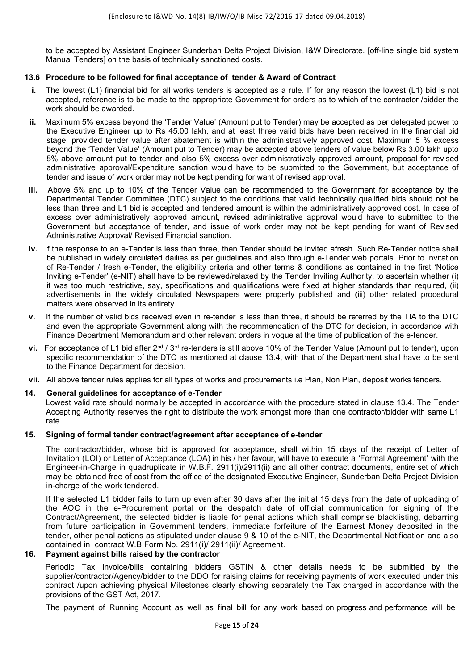to be accepted by Assistant Engineer Sunderban Delta Project Division, I&W Directorate. [off-line single bid system Manual Tenders] on the basis of technically sanctioned costs.

#### **13.6 Procedure to be followed for final acceptance of tender & Award of Contract**

- **i.** The lowest (L1) financial bid for all works tenders is accepted as a rule. If for any reason the lowest (L1) bid is not accepted, reference is to be made to the appropriate Government for orders as to which of the contractor /bidder the work should be awarded.
- **ii.** Maximum 5% excess beyond the 'Tender Value' (Amount put to Tender) may be accepted as per delegated power to the Executive Engineer up to Rs 45.00 lakh, and at least three valid bids have been received in the financial bid stage, provided tender value after abatement is within the administratively approved cost. Maximum 5 % excess beyond the 'Tender Value' (Amount put to Tender) may be accepted above tenders of value below Rs 3.00 lakh upto 5% above amount put to tender and also 5% excess over administratively approved amount, proposal for revised administrative approval/Expenditure sanction would have to be submitted to the Government, but acceptance of tender and issue of work order may not be kept pending for want of revised approval.
- **iii.** Above 5% and up to 10% of the Tender Value can be recommended to the Government for acceptance by the Departmental Tender Committee (DTC) subject to the conditions that valid technically qualified bids should not be less than three and L1 bid is accepted and tendered amount is within the administratively approved cost. In case of excess over administratively approved amount, revised administrative approval would have to submitted to the Government but acceptance of tender, and issue of work order may not be kept pending for want of Revised Administrative Approval/ Revised Financial sanction.
- **iv.** If the response to an e-Tender is less than three, then Tender should be invited afresh. Such Re-Tender notice shall be published in widely circulated dailies as per guidelines and also through e-Tender web portals. Prior to invitation of Re-Tender / fresh e-Tender, the eligibility criteria and other terms & conditions as contained in the first 'Notice Inviting e-Tender' (e-NIT) shall have to be reviewed/relaxed by the Tender Inviting Authority, to ascertain whether (i) it was too much restrictive, say, specifications and qualifications were fixed at higher standards than required, (ii) advertisements in the widely circulated Newspapers were properly published and (iii) other related procedural matters were observed in its entirety.
- **v.** If the number of valid bids received even in re-tender is less than three, it should be referred by the TIA to the DTC and even the appropriate Government along with the recommendation of the DTC for decision, in accordance with Finance Department Memorandum and other relevant orders in vogue at the time of publication of the e-tender.
- **vi.** For acceptance of L1 bid after 2<sup>nd</sup> / 3<sup>rd</sup> re-tenders is still above 10% of the Tender Value (Amount put to tender), upon specific recommendation of the DTC as mentioned at clause 13.4, with that of the Department shall have to be sent to the Finance Department for decision.
- **vii.** All above tender rules applies for all types of works and procurements i.e Plan, Non Plan, deposit works tenders.

#### **14. General guidelines for acceptance of e-Tender**

 Lowest valid rate should normally be accepted in accordance with the procedure stated in clause 13.4. The Tender Accepting Authority reserves the right to distribute the work amongst more than one contractor/bidder with same L1 rate.

#### **15. Signing of formal tender contract/agreement after acceptance of e-tender**

The contractor/bidder, whose bid is approved for acceptance, shall within 15 days of the receipt of Letter of Invitation (LOI) or Letter of Acceptance (LOA) in his / her favour, will have to execute a 'Formal Agreement' with the Engineer-in-Charge in quadruplicate in W.B.F. 2911(i)/2911(ii) and all other contract documents, entire set of which may be obtained free of cost from the office of the designated Executive Engineer, Sunderban Delta Project Division in-charge of the work tendered.

If the selected L1 bidder fails to turn up even after 30 days after the initial 15 days from the date of uploading of the AOC in the e-Procurement portal or the despatch date of official communication for signing of the Contract/Agreement, the selected bidder is liable for penal actions which shall comprise blacklisting, debarring from future participation in Government tenders, immediate forfeiture of the Earnest Money deposited in the tender, other penal actions as stipulated under clause 9 & 10 of the e-NIT, the Departmental Notification and also contained in contract W.B Form No. 2911(i)/ 2911(ii)/ Agreement.

#### **16. Payment against bills raised by the contractor**

Periodic Tax invoice/bills containing bidders GSTIN & other details needs to be submitted by the supplier/contractor/Agency/bidder to the DDO for raising claims for receiving payments of work executed under this contract /upon achieving physical Milestones clearly showing separately the Tax charged in accordance with the provisions of the GST Act, 2017.

The payment of Running Account as well as final bill for any work based on progress and performance will be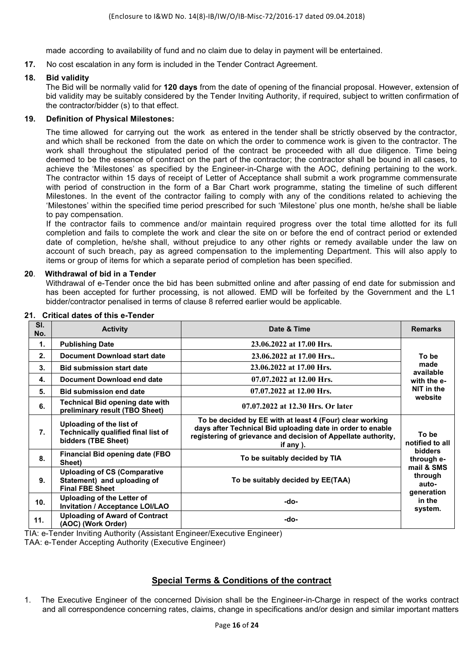made according to availability of fund and no claim due to delay in payment will be entertained.

**17.** No cost escalation in any form is included in the Tender Contract Agreement.

#### **18. Bid validity**

The Bid will be normally valid for **120 days** from the date of opening of the financial proposal. However, extension of bid validity may be suitably considered by the Tender Inviting Authority, if required, subject to written confirmation of the contractor/bidder (s) to that effect.

#### **19. Definition of Physical Milestones:**

The time allowed for carrying out the work as entered in the tender shall be strictly observed by the contractor, and which shall be reckoned from the date on which the order to commence work is given to the contractor. The work shall throughout the stipulated period of the contract be proceeded with all due diligence. Time being deemed to be the essence of contract on the part of the contractor; the contractor shall be bound in all cases, to achieve the 'Milestones' as specified by the Engineer-in-Charge with the AOC, defining pertaining to the work. The contractor within 15 days of receipt of Letter of Acceptance shall submit a work programme commensurate with period of construction in the form of a Bar Chart work programme, stating the timeline of such different Milestones. In the event of the contractor failing to comply with any of the conditions related to achieving the 'Milestones' within the specified time period prescribed for such 'Milestone' plus one month, he/she shall be liable to pay compensation.

If the contractor fails to commence and/or maintain required progress over the total time allotted for its full completion and fails to complete the work and clear the site on or before the end of contract period or extended date of completion, he/she shall, without prejudice to any other rights or remedy available under the law on account of such breach, pay as agreed compensation to the implementing Department. This will also apply to items or group of items for which a separate period of completion has been specified.

#### **20**. **Withdrawal of bid in a Tender**

Withdrawal of e-Tender once the bid has been submitted online and after passing of end date for submission and has been accepted for further processing, is not allowed. EMD will be forfeited by the Government and the L1 bidder/contractor penalised in terms of clause 8 referred earlier would be applicable.

| SI.<br>No.      | <b>Activity</b>                                                                               | Date & Time                                                                                                                                                                                          | <b>Remarks</b>                               |  |
|-----------------|-----------------------------------------------------------------------------------------------|------------------------------------------------------------------------------------------------------------------------------------------------------------------------------------------------------|----------------------------------------------|--|
| 1.              | <b>Publishing Date</b>                                                                        | 23.06.2022 at 17.00 Hrs.                                                                                                                                                                             |                                              |  |
| 2.              | Document Download start date                                                                  | 23.06.2022 at 17.00 Hrs                                                                                                                                                                              | To be                                        |  |
| 3.              | <b>Bid submission start date</b>                                                              | 23.06.2022 at 17.00 Hrs.                                                                                                                                                                             | made<br>available                            |  |
| 4.              | <b>Document Download end date</b>                                                             | 07.07.2022 at 12.00 Hrs.                                                                                                                                                                             | with the e-                                  |  |
| 5.              | <b>Bid submission end date</b>                                                                | 07.07.2022 at 12.00 Hrs.                                                                                                                                                                             | NIT in the                                   |  |
| 6.              | <b>Technical Bid opening date with</b><br>preliminary result (TBO Sheet)                      | 07.07.2022 at 12.30 Hrs. Or later                                                                                                                                                                    | website                                      |  |
| 7.              | Uploading of the list of<br><b>Technically qualified final list of</b><br>bidders (TBE Sheet) | To be decided by EE with at least 4 (Four) clear working<br>days after Technical Bid uploading date in order to enable<br>registering of grievance and decision of Appellate authority,<br>if any ). | To be<br>notified to all                     |  |
| 8.              | <b>Financial Bid opening date (FBO</b><br>Sheet)                                              | To be suitably decided by TIA                                                                                                                                                                        | <b>bidders</b><br>through e-                 |  |
| 9.              | <b>Uploading of CS (Comparative</b><br>Statement) and uploading of<br><b>Final FBE Sheet</b>  | To be suitably decided by EE(TAA)                                                                                                                                                                    | mail & SMS<br>through<br>auto-<br>generation |  |
| 10 <sub>1</sub> | Uploading of the Letter of<br><b>Invitation / Acceptance LOI/LAO</b>                          | -do-                                                                                                                                                                                                 | in the<br>system.                            |  |
| 11.             | <b>Uploading of Award of Contract</b><br>(AOC) (Work Order)                                   | -do-                                                                                                                                                                                                 |                                              |  |

#### **21. Critical dates of this e-Tender**

TIA: e-Tender Inviting Authority (Assistant Engineer/Executive Engineer) TAA: e-Tender Accepting Authority (Executive Engineer)

#### **Special Terms & Conditions of the contract**

1. The Executive Engineer of the concerned Division shall be the Engineer-in-Charge in respect of the works contract and all correspondence concerning rates, claims, change in specifications and/or design and similar important matters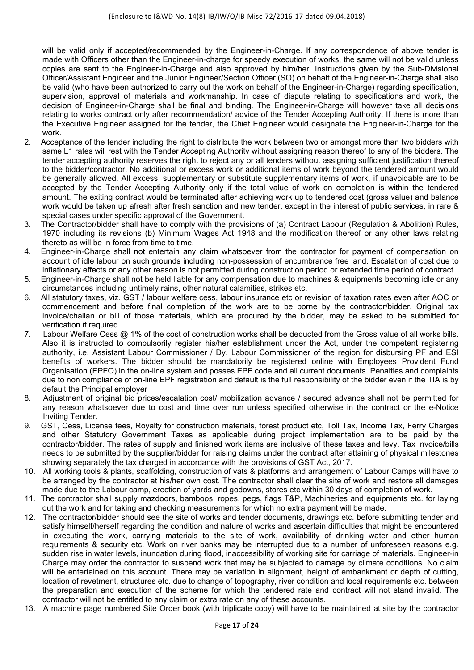will be valid only if accepted/recommended by the Engineer-in-Charge. If any correspondence of above tender is made with Officers other than the Engineer-in-charge for speedy execution of works, the same will not be valid unless copies are sent to the Engineer-in-Charge and also approved by him/her. Instructions given by the Sub-Divisional Officer/Assistant Engineer and the Junior Engineer/Section Officer (SO) on behalf of the Engineer-in-Charge shall also be valid (who have been authorized to carry out the work on behalf of the Engineer-in-Charge) regarding specification, supervision, approval of materials and workmanship. In case of dispute relating to specifications and work, the decision of Engineer-in-Charge shall be final and binding. The Engineer-in-Charge will however take all decisions relating to works contract only after recommendation/ advice of the Tender Accepting Authority. If there is more than the Executive Engineer assigned for the tender, the Chief Engineer would designate the Engineer-in-Charge for the work.

- 2. Acceptance of the tender including the right to distribute the work between two or amongst more than two bidders with same L1 rates will rest with the Tender Accepting Authority without assigning reason thereof to any of the bidders. The tender accepting authority reserves the right to reject any or all tenders without assigning sufficient justification thereof to the bidder/contractor. No additional or excess work or additional items of work beyond the tendered amount would be generally allowed. All excess, supplementary or substitute supplementary items of work, if unavoidable are to be accepted by the Tender Accepting Authority only if the total value of work on completion is within the tendered amount. The exiting contract would be terminated after achieving work up to tendered cost (gross value) and balance work would be taken up afresh after fresh sanction and new tender, except in the interest of public services, in rare & special cases under specific approval of the Government.
- 3. The Contractor/bidder shall have to comply with the provisions of (a) Contract Labour (Regulation & Abolition) Rules, 1970 including its revisions (b) Minimum Wages Act 1948 and the modification thereof or any other laws relating thereto as will be in force from time to time.
- 4. Engineer-in-Charge shall not entertain any claim whatsoever from the contractor for payment of compensation on account of idle labour on such grounds including non-possession of encumbrance free land. Escalation of cost due to inflationary effects or any other reason is not permitted during construction period or extended time period of contract.
- 5. Engineer-in-Charge shall not be held liable for any compensation due to machines & equipments becoming idle or any circumstances including untimely rains, other natural calamities, strikes etc.
- 6. All statutory taxes, viz. GST / labour welfare cess, labour insurance etc or revision of taxation rates even after AOC or commencement and before final completion of the work are to be borne by the contractor/bidder. Original tax invoice/challan or bill of those materials, which are procured by the bidder, may be asked to be submitted for verification if required.
- 7. Labour Welfare Cess @ 1% of the cost of construction works shall be deducted from the Gross value of all works bills. Also it is instructed to compulsorily register his/her establishment under the Act, under the competent registering authority, i.e. Assistant Labour Commissioner / Dy. Labour Commissioner of the region for disbursing PF and ESI benefits of workers. The bidder should be mandatorily be registered online with Employees Provident Fund Organisation (EPFO) in the on-line system and posses EPF code and all current documents. Penalties and complaints due to non compliance of on-line EPF registration and default is the full responsibility of the bidder even if the TIA is by default the Principal employer
- 8. Adjustment of original bid prices/escalation cost/ mobilization advance / secured advance shall not be permitted for any reason whatsoever due to cost and time over run unless specified otherwise in the contract or the e-Notice Inviting Tender.
- 9. GST, Cess, License fees, Royalty for construction materials, forest product etc, Toll Tax, Income Tax, Ferry Charges and other Statutory Government Taxes as applicable during project implementation are to be paid by the contractor/bidder. The rates of supply and finished work items are inclusive of these taxes and levy. Tax invoice/bills needs to be submitted by the supplier/bidder for raising claims under the contract after attaining of physical milestones showing separately the tax charged in accordance with the provisions of GST Act, 2017.
- 10. All working tools & plants, scaffolding, construction of vats & platforms and arrangement of Labour Camps will have to be arranged by the contractor at his/her own cost. The contractor shall clear the site of work and restore all damages made due to the Labour camp, erection of yards and godowns, stores etc within 30 days of completion of work.
- 11. The contractor shall supply mazdoors, bamboos, ropes, pegs, flags T&P, Machineries and equipments etc. for laying out the work and for taking and checking measurements for which no extra payment will be made.
- 12. The contractor/bidder should see the site of works and tender documents, drawings etc. before submitting tender and satisfy himself/herself regarding the condition and nature of works and ascertain difficulties that might be encountered in executing the work, carrying materials to the site of work, availability of drinking water and other human requirements & security etc. Work on river banks may be interrupted due to a number of unforeseen reasons e.g. sudden rise in water levels, inundation during flood, inaccessibility of working site for carriage of materials. Engineer-in Charge may order the contractor to suspend work that may be subjected to damage by climate conditions. No claim will be entertained on this account. There may be variation in alignment, height of embankment or depth of cutting, location of revetment, structures etc. due to change of topography, river condition and local requirements etc. between the preparation and execution of the scheme for which the tendered rate and contract will not stand invalid. The contractor will not be entitled to any claim or extra rate on any of these accounts.
- 13. A machine page numbered Site Order book (with triplicate copy) will have to be maintained at site by the contractor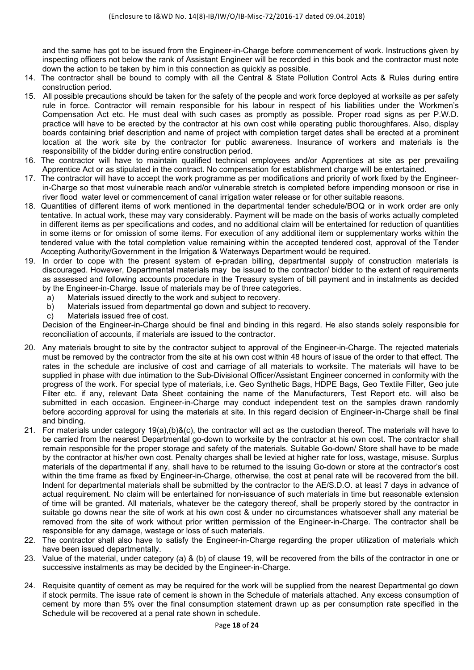and the same has got to be issued from the Engineer-in-Charge before commencement of work. Instructions given by inspecting officers not below the rank of Assistant Engineer will be recorded in this book and the contractor must note down the action to be taken by him in this connection as quickly as possible.

- 14. The contractor shall be bound to comply with all the Central & State Pollution Control Acts & Rules during entire construction period.
- 15. All possible precautions should be taken for the safety of the people and work force deployed at worksite as per safety rule in force. Contractor will remain responsible for his labour in respect of his liabilities under the Workmen's Compensation Act etc. He must deal with such cases as promptly as possible. Proper road signs as per P.W.D. practice will have to be erected by the contractor at his own cost while operating public thoroughfares. Also, display boards containing brief description and name of project with completion target dates shall be erected at a prominent location at the work site by the contractor for public awareness. Insurance of workers and materials is the responsibility of the bidder during entire construction period.
- 16. The contractor will have to maintain qualified technical employees and/or Apprentices at site as per prevailing Apprentice Act or as stipulated in the contract. No compensation for establishment charge will be entertained.
- 17. The contractor will have to accept the work programme as per modifications and priority of work fixed by the Engineerin-Charge so that most vulnerable reach and/or vulnerable stretch is completed before impending monsoon or rise in river flood water level or commencement of canal irrigation water release or for other suitable reasons.
- 18. Quantities of different items of work mentioned in the departmental tender schedule/BOQ or in work order are only tentative. In actual work, these may vary considerably. Payment will be made on the basis of works actually completed in different items as per specifications and codes, and no additional claim will be entertained for reduction of quantities in some items or for omission of some items. For execution of any additional item or supplementary works within the tendered value with the total completion value remaining within the accepted tendered cost, approval of the Tender Accepting Authority/Government in the Irrigation & Waterways Department would be required.
- 19. In order to cope with the present system of e-pradan billing, departmental supply of construction materials is discouraged. However, Departmental materials may be issued to the contractor/ bidder to the extent of requirements as assessed and following accounts procedure in the Treasury system of bill payment and in instalments as decided by the Engineer-in-Charge. Issue of materials may be of three categories.
	- a) Materials issued directly to the work and subject to recovery.
	- b) Materials issued from departmental go down and subject to recovery.
	- c) Materials issued free of cost.

 Decision of the Engineer-in-Charge should be final and binding in this regard. He also stands solely responsible for reconciliation of accounts, if materials are issued to the contractor.

- 20. Any materials brought to site by the contractor subject to approval of the Engineer-in-Charge. The rejected materials must be removed by the contractor from the site at his own cost within 48 hours of issue of the order to that effect. The rates in the schedule are inclusive of cost and carriage of all materials to worksite. The materials will have to be supplied in phase with due intimation to the Sub-Divisional Officer/Assistant Engineer concerned in conformity with the progress of the work. For special type of materials, i.e. Geo Synthetic Bags, HDPE Bags, Geo Textile Filter, Geo jute Filter etc. if any, relevant Data Sheet containing the name of the Manufacturers, Test Report etc. will also be submitted in each occasion. Engineer-in-Charge may conduct independent test on the samples drawn randomly before according approval for using the materials at site. In this regard decision of Engineer-in-Charge shall be final and binding.
- 21. For materials under category 19(a),(b)&(c), the contractor will act as the custodian thereof. The materials will have to be carried from the nearest Departmental go-down to worksite by the contractor at his own cost. The contractor shall remain responsible for the proper storage and safety of the materials. Suitable Go-down/ Store shall have to be made by the contractor at his/her own cost. Penalty charges shall be levied at higher rate for loss, wastage, misuse. Surplus materials of the departmental if any, shall have to be returned to the issuing Go-down or store at the contractor's cost within the time frame as fixed by Engineer-in-Charge, otherwise, the cost at penal rate will be recovered from the bill. Indent for departmental materials shall be submitted by the contractor to the AE/S.D.O. at least 7 days in advance of actual requirement. No claim will be entertained for non-issuance of such materials in time but reasonable extension of time will be granted. All materials, whatever be the category thereof, shall be properly stored by the contractor in suitable go downs near the site of work at his own cost & under no circumstances whatsoever shall any material be removed from the site of work without prior written permission of the Engineer-in-Charge. The contractor shall be responsible for any damage, wastage or loss of such materials.
- 22. The contractor shall also have to satisfy the Engineer-in-Charge regarding the proper utilization of materials which have been issued departmentally.
- 23. Value of the material, under category (a) & (b) of clause 19, will be recovered from the bills of the contractor in one or successive instalments as may be decided by the Engineer-in-Charge.
- 24. Requisite quantity of cement as may be required for the work will be supplied from the nearest Departmental go down if stock permits. The issue rate of cement is shown in the Schedule of materials attached. Any excess consumption of cement by more than 5% over the final consumption statement drawn up as per consumption rate specified in the Schedule will be recovered at a penal rate shown in schedule.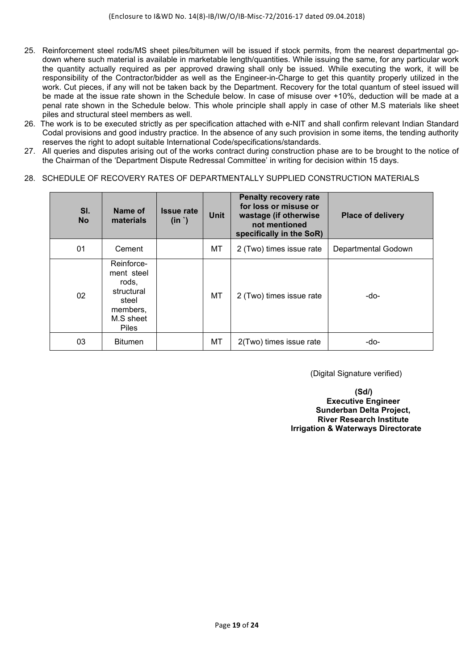- 25. Reinforcement steel rods/MS sheet piles/bitumen will be issued if stock permits, from the nearest departmental godown where such material is available in marketable length/quantities. While issuing the same, for any particular work the quantity actually required as per approved drawing shall only be issued. While executing the work, it will be responsibility of the Contractor/bidder as well as the Engineer-in-Charge to get this quantity properly utilized in the work. Cut pieces, if any will not be taken back by the Department. Recovery for the total quantum of steel issued will be made at the issue rate shown in the Schedule below. In case of misuse over +10%, deduction will be made at a penal rate shown in the Schedule below. This whole principle shall apply in case of other M.S materials like sheet piles and structural steel members as well.
- 26. The work is to be executed strictly as per specification attached with e-NIT and shall confirm relevant Indian Standard Codal provisions and good industry practice. In the absence of any such provision in some items, the tending authority reserves the right to adopt suitable International Code/specifications/standards.
- 27. All queries and disputes arising out of the works contract during construction phase are to be brought to the notice of the Chairman of the 'Department Dispute Redressal Committee' in writing for decision within 15 days.

#### 28.SCHEDULE OF RECOVERY RATES OF DEPARTMENTALLY SUPPLIED CONSTRUCTION MATERIALS

| SI.<br><b>No</b> | Name of<br>materials                                                                              | <b>Issue rate</b><br>$(in^{\prime})$ | <b>Unit</b> | <b>Penalty recovery rate</b><br>for loss or misuse or<br>wastage (if otherwise<br>not mentioned<br>specifically in the SoR) | <b>Place of delivery</b> |
|------------------|---------------------------------------------------------------------------------------------------|--------------------------------------|-------------|-----------------------------------------------------------------------------------------------------------------------------|--------------------------|
| 01               | Cement                                                                                            |                                      | МT          | 2 (Two) times issue rate                                                                                                    | Departmental Godown      |
| 02               | Reinforce-<br>ment steel<br>rods,<br>structural<br>steel<br>members,<br>M.S sheet<br><b>Piles</b> |                                      | МT          | 2 (Two) times issue rate                                                                                                    | -do-                     |
| 03               | <b>Bitumen</b>                                                                                    |                                      | МT          | 2(Two) times issue rate                                                                                                     | -do-                     |

(Digital Signature verified)

**(Sd/) Executive Engineer Sunderban Delta Project, River Research Institute Irrigation & Waterways Directorate**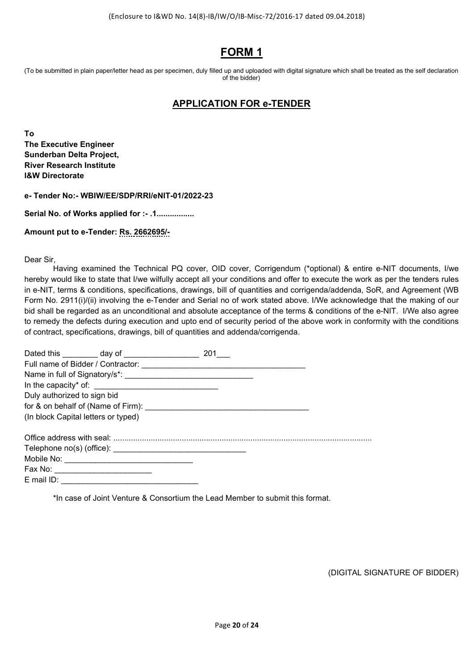## **FORM 1**

(To be submitted in plain paper/letter head as per specimen, duly filled up and uploaded with digital signature which shall be treated as the self declaration of the bidder)

## **APPLICATION FOR e-TENDER**

**To The Executive Engineer Sunderban Delta Project, River Research Institute I&W Directorate** 

**e- Tender No:- WBIW/EE/SDP/RRI/eNIT-01/2022-23** 

**Serial No. of Works applied for :- .1.................** 

**Amount put to e-Tender: Rs. 2662695/-** 

Dear Sir,

Having examined the Technical PQ cover, OID cover, Corrigendum (\*optional) & entire e-NIT documents, I/we hereby would like to state that I/we wilfully accept all your conditions and offer to execute the work as per the tenders rules in e-NIT, terms & conditions, specifications, drawings, bill of quantities and corrigenda/addenda, SoR, and Agreement (WB Form No. 2911(i)/(ii) involving the e-Tender and Serial no of work stated above. I/We acknowledge that the making of our bid shall be regarded as an unconditional and absolute acceptance of the terms & conditions of the e-NIT. I/We also agree to remedy the defects during execution and upto end of security period of the above work in conformity with the conditions of contract, specifications, drawings, bill of quantities and addenda/corrigenda.

| Dated this day of the control of the control of the control of the control of the control of the control of the control of the control of the control of the control of the control of the control of the control of the contr | 201 |  |
|--------------------------------------------------------------------------------------------------------------------------------------------------------------------------------------------------------------------------------|-----|--|
|                                                                                                                                                                                                                                |     |  |
|                                                                                                                                                                                                                                |     |  |
|                                                                                                                                                                                                                                |     |  |
| Duly authorized to sign bid                                                                                                                                                                                                    |     |  |
|                                                                                                                                                                                                                                |     |  |
| (In block Capital letters or typed)                                                                                                                                                                                            |     |  |
|                                                                                                                                                                                                                                |     |  |
|                                                                                                                                                                                                                                |     |  |
|                                                                                                                                                                                                                                |     |  |
| Fax No: _________________________                                                                                                                                                                                              |     |  |
|                                                                                                                                                                                                                                |     |  |

\*In case of Joint Venture & Consortium the Lead Member to submit this format.

(DIGITAL SIGNATURE OF BIDDER)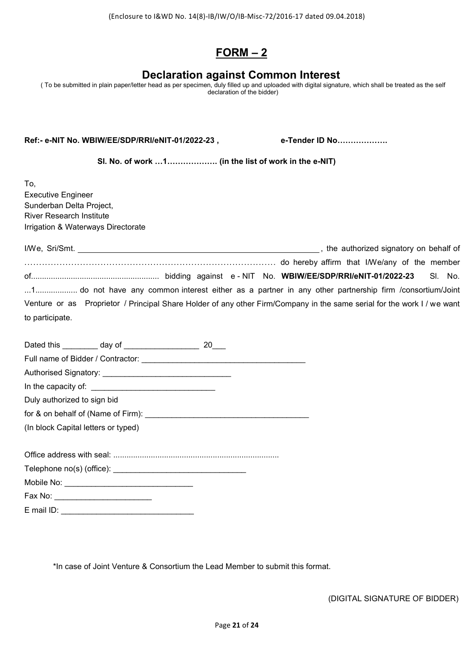## **FORM – 2**

## **Declaration against Common Interest**

( To be submitted in plain paper/letter head as per specimen, duly filled up and uploaded with digital signature, which shall be treated as the self declaration of the bidder)

Ref:- e-NIT No. WBIW/EE/SDP/RRI/eNIT-01/2022-23, e-Tender ID No..................

 **Sl. No. of work …1………………. (in the list of work in the e-NIT)** 

To, Executive Engineer Sunderban Delta Project, River Research Institute Irrigation & Waterways Directorate

|                 | the authorized signatory on behalf of                                                                                                                                                  |
|-----------------|----------------------------------------------------------------------------------------------------------------------------------------------------------------------------------------|
|                 |                                                                                                                                                                                        |
|                 |                                                                                                                                                                                        |
|                 | there as a partner in any off the world for partnership firm /consortium/Joint in 1do not have any common interest either as a partner in any other partnership firm /consortium/Joint |
|                 | Venture or as Proprietor / Principal Share Holder of any other Firm/Company in the same serial for the work I / we want                                                                |
| to participate. |                                                                                                                                                                                        |

|                                     | Dated this __________ day of __________________ | -20 |  |  |  |  |  |  |  |
|-------------------------------------|-------------------------------------------------|-----|--|--|--|--|--|--|--|
|                                     |                                                 |     |  |  |  |  |  |  |  |
|                                     |                                                 |     |  |  |  |  |  |  |  |
|                                     |                                                 |     |  |  |  |  |  |  |  |
| Duly authorized to sign bid         |                                                 |     |  |  |  |  |  |  |  |
|                                     |                                                 |     |  |  |  |  |  |  |  |
| (In block Capital letters or typed) |                                                 |     |  |  |  |  |  |  |  |
|                                     |                                                 |     |  |  |  |  |  |  |  |
|                                     |                                                 |     |  |  |  |  |  |  |  |
|                                     |                                                 |     |  |  |  |  |  |  |  |
| Fax No: ___________________________ |                                                 |     |  |  |  |  |  |  |  |
| $E$ mail ID:                        |                                                 |     |  |  |  |  |  |  |  |

\*In case of Joint Venture & Consortium the Lead Member to submit this format.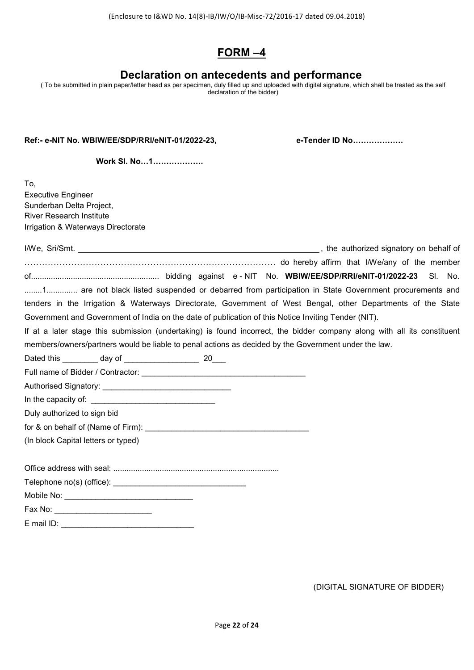## **FORM –4**

## **Declaration on antecedents and performance**

(To be submitted in plain paper/letter head as per specimen, duly filled up and uploaded with digital signature, which shall be treated as the self declaration of the bidder)

#### **Ref:- e-NIT No. WBIW/EE/SDP/RRI/eNIT-01/2022-23, e-Tender ID No……………….**

 **Work Sl. No…1……………….** 

To, Executive Engineer Sunderban Delta Project, River Research Institute Irrigation & Waterways Directorate

| 1 are not black listed suspended or debarred from participation in State Government procurements and                    |  |  |  |
|-------------------------------------------------------------------------------------------------------------------------|--|--|--|
| tenders in the Irrigation & Waterways Directorate, Government of West Bengal, other Departments of the State            |  |  |  |
| Government and Government of India on the date of publication of this Notice Inviting Tender (NIT).                     |  |  |  |
| If at a later stage this submission (undertaking) is found incorrect, the bidder company along with all its constituent |  |  |  |
| members/owners/partners would be liable to penal actions as decided by the Government under the law.                    |  |  |  |
|                                                                                                                         |  |  |  |
|                                                                                                                         |  |  |  |
|                                                                                                                         |  |  |  |
|                                                                                                                         |  |  |  |
| Duly authorized to sign bid                                                                                             |  |  |  |

for & on behalf of (Name of Firm): \_\_\_\_\_\_\_\_\_\_\_\_\_\_\_\_\_\_\_\_\_\_\_\_\_\_\_\_\_\_\_\_\_\_\_\_\_

(In block Capital letters or typed)

Office address with seal: ...........................................................................

Telephone no(s) (office): \_\_\_\_\_\_\_\_\_\_\_\_\_\_\_\_\_\_\_\_\_\_\_\_\_\_\_\_\_\_

Mobile No: \_\_\_\_\_\_\_\_\_\_\_\_\_\_\_\_\_\_\_\_\_\_\_\_\_\_\_\_\_ Fax No: \_\_\_\_\_\_\_\_\_\_\_\_\_\_\_\_\_\_\_\_\_\_

E mail ID: \_\_\_\_\_\_\_\_\_\_\_\_\_\_\_\_\_\_\_\_\_\_\_\_\_\_\_\_\_\_

(DIGITAL SIGNATURE OF BIDDER)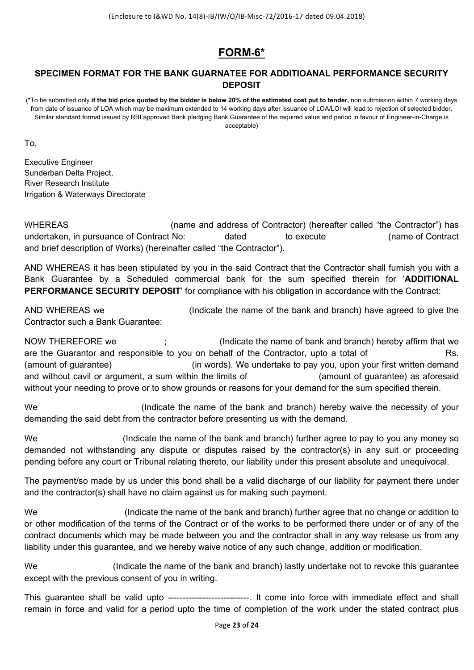## **FORM-6\***

## **SPECIMEN FORMAT FOR THE BANK GUARNATEE FOR ADDITIOANAL PERFORMANCE SECURITY DEPOSIT**

(\*To be submitted only **if the bid price quoted by the bidder is below 20% of the estimated cost put to tender,** non submission within 7 working days from date of issuance of LOA which may be maximum extended to 14 working days after issuance of LOA/LOI will lead to rejection of selected bidder. Similar standard format issued by RBI approved Bank pledging Bank Guarantee of the required value and period in favour of Engineer-in-Charge is acceptable)

To,

Executive Engineer Sunderban Delta Project, River Research Institute Irrigation & Waterways Directorate

WHEREAS (name and address of Contractor) (hereafter called "the Contractor") has undertaken, in pursuance of Contract No: dated to execute (name of Contract and brief description of Works) (hereinafter called "the Contractor").

AND WHEREAS it has been stipulated by you in the said Contract that the Contractor shall furnish you with a Bank Guarantee by a Scheduled commercial bank for the sum specified therein for '**ADDITIONAL PERFORMANCE SECURITY DEPOSIT**' for compliance with his obligation in accordance with the Contract:

AND WHEREAS we (Indicate the name of the bank and branch) have agreed to give the Contractor such a Bank Guarantee:

NOW THEREFORE we ; (Indicate the name of bank and branch) hereby affirm that we are the Guarantor and responsible to you on behalf of the Contractor, upto a total of Rs. (amount of guarantee) (in words). We undertake to pay you, upon your first written demand and without cavil or argument, a sum within the limits of **Fig. 2018** (amount of guarantee) as aforesaid without your needing to prove or to show grounds or reasons for your demand for the sum specified therein.

We **South Contact Contact Controller** (Indicate the name of the bank and branch) hereby waive the necessity of your demanding the said debt from the contractor before presenting us with the demand.

We **South Controller in the name of the bank and branch**) further agree to pay to you any money so demanded not withstanding any dispute or disputes raised by the contractor(s) in any suit or proceeding pending before any court or Tribunal relating thereto, our liability under this present absolute and unequivocal.

The payment/so made by us under this bond shall be a valid discharge of our liability for payment there under and the contractor(s) shall have no claim against us for making such payment.

We (Indicate the name of the bank and branch) further agree that no change or addition to or other modification of the terms of the Contract or of the works to be performed there under or of any of the contract documents which may be made between you and the contractor shall in any way release us from any liability under this guarantee, and we hereby waive notice of any such change, addition or modification.

We **Starp indicate the name of the bank and branch**) lastly undertake not to revoke this quarantee except with the previous consent of you in writing.

This guarantee shall be valid upto ----------------------------... It come into force with immediate effect and shall remain in force and valid for a period upto the time of completion of the work under the stated contract plus